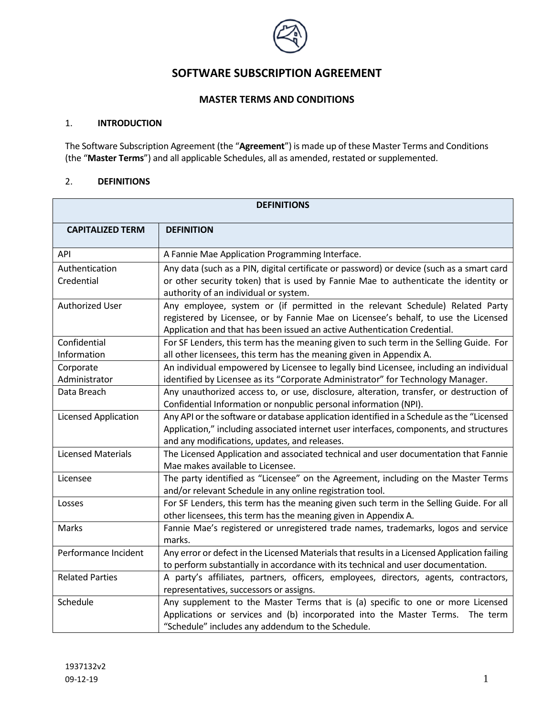

# **SOFTWARE SUBSCRIPTION AGREEMENT**

## **MASTER TERMS AND CONDITIONS**

#### 1. **INTRODUCTION**

The Software Subscription Agreement (the "**Agreement**") is made up of these Master Terms and Conditions (the "**Master Terms**") and all applicable Schedules, all as amended, restated or supplemented.

## 2. **DEFINITIONS**

| <b>DEFINITIONS</b>          |                                                                                                                                                                                                                                                  |
|-----------------------------|--------------------------------------------------------------------------------------------------------------------------------------------------------------------------------------------------------------------------------------------------|
| <b>CAPITALIZED TERM</b>     | <b>DEFINITION</b>                                                                                                                                                                                                                                |
| API                         | A Fannie Mae Application Programming Interface.                                                                                                                                                                                                  |
| Authentication              | Any data (such as a PIN, digital certificate or password) or device (such as a smart card                                                                                                                                                        |
| Credential                  | or other security token) that is used by Fannie Mae to authenticate the identity or<br>authority of an individual or system.                                                                                                                     |
| <b>Authorized User</b>      | Any employee, system or (if permitted in the relevant Schedule) Related Party<br>registered by Licensee, or by Fannie Mae on Licensee's behalf, to use the Licensed<br>Application and that has been issued an active Authentication Credential. |
| Confidential                | For SF Lenders, this term has the meaning given to such term in the Selling Guide. For                                                                                                                                                           |
| Information                 | all other licensees, this term has the meaning given in Appendix A.                                                                                                                                                                              |
| Corporate                   | An individual empowered by Licensee to legally bind Licensee, including an individual                                                                                                                                                            |
| Administrator               | identified by Licensee as its "Corporate Administrator" for Technology Manager.                                                                                                                                                                  |
| Data Breach                 | Any unauthorized access to, or use, disclosure, alteration, transfer, or destruction of<br>Confidential Information or nonpublic personal information (NPI).                                                                                     |
| <b>Licensed Application</b> | Any API or the software or database application identified in a Schedule as the "Licensed                                                                                                                                                        |
|                             | Application," including associated internet user interfaces, components, and structures                                                                                                                                                          |
|                             | and any modifications, updates, and releases.                                                                                                                                                                                                    |
| <b>Licensed Materials</b>   | The Licensed Application and associated technical and user documentation that Fannie<br>Mae makes available to Licensee.                                                                                                                         |
| Licensee                    | The party identified as "Licensee" on the Agreement, including on the Master Terms                                                                                                                                                               |
|                             | and/or relevant Schedule in any online registration tool.                                                                                                                                                                                        |
| Losses                      | For SF Lenders, this term has the meaning given such term in the Selling Guide. For all                                                                                                                                                          |
|                             | other licensees, this term has the meaning given in Appendix A.                                                                                                                                                                                  |
| Marks                       | Fannie Mae's registered or unregistered trade names, trademarks, logos and service<br>marks.                                                                                                                                                     |
| Performance Incident        | Any error or defect in the Licensed Materials that results in a Licensed Application failing                                                                                                                                                     |
|                             | to perform substantially in accordance with its technical and user documentation.                                                                                                                                                                |
| <b>Related Parties</b>      | A party's affiliates, partners, officers, employees, directors, agents, contractors,                                                                                                                                                             |
|                             | representatives, successors or assigns.                                                                                                                                                                                                          |
| Schedule                    | Any supplement to the Master Terms that is (a) specific to one or more Licensed                                                                                                                                                                  |
|                             | Applications or services and (b) incorporated into the Master Terms.<br>The term                                                                                                                                                                 |
|                             | "Schedule" includes any addendum to the Schedule.                                                                                                                                                                                                |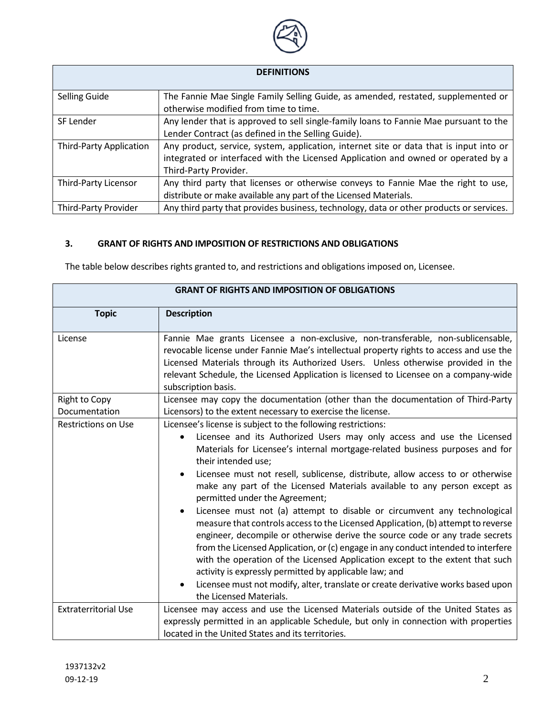

## **DEFINITIONS**

| <b>Selling Guide</b>    | The Fannie Mae Single Family Selling Guide, as amended, restated, supplemented or       |
|-------------------------|-----------------------------------------------------------------------------------------|
|                         | otherwise modified from time to time.                                                   |
| SF Lender               | Any lender that is approved to sell single-family loans to Fannie Mae pursuant to the   |
|                         | Lender Contract (as defined in the Selling Guide).                                      |
| Third-Party Application | Any product, service, system, application, internet site or data that is input into or  |
|                         | integrated or interfaced with the Licensed Application and owned or operated by a       |
|                         | Third-Party Provider.                                                                   |
| Third-Party Licensor    | Any third party that licenses or otherwise conveys to Fannie Mae the right to use,      |
|                         | distribute or make available any part of the Licensed Materials.                        |
| Third-Party Provider    | Any third party that provides business, technology, data or other products or services. |

## **3. GRANT OF RIGHTS AND IMPOSITION OF RESTRICTIONS AND OBLIGATIONS**

The table below describes rights granted to, and restrictions and obligations imposed on, Licensee.

| <b>GRANT OF RIGHTS AND IMPOSITION OF OBLIGATIONS</b> |                                                                                                                                                                                                                                                                                                                                                                                                                                                                                                                                                                                                                                                                                                                                                                                                                                                                                                                                                                                                                                                            |  |
|------------------------------------------------------|------------------------------------------------------------------------------------------------------------------------------------------------------------------------------------------------------------------------------------------------------------------------------------------------------------------------------------------------------------------------------------------------------------------------------------------------------------------------------------------------------------------------------------------------------------------------------------------------------------------------------------------------------------------------------------------------------------------------------------------------------------------------------------------------------------------------------------------------------------------------------------------------------------------------------------------------------------------------------------------------------------------------------------------------------------|--|
| <b>Topic</b>                                         | <b>Description</b>                                                                                                                                                                                                                                                                                                                                                                                                                                                                                                                                                                                                                                                                                                                                                                                                                                                                                                                                                                                                                                         |  |
| License                                              | Fannie Mae grants Licensee a non-exclusive, non-transferable, non-sublicensable,<br>revocable license under Fannie Mae's intellectual property rights to access and use the<br>Licensed Materials through its Authorized Users. Unless otherwise provided in the<br>relevant Schedule, the Licensed Application is licensed to Licensee on a company-wide<br>subscription basis.                                                                                                                                                                                                                                                                                                                                                                                                                                                                                                                                                                                                                                                                           |  |
| <b>Right to Copy</b>                                 | Licensee may copy the documentation (other than the documentation of Third-Party                                                                                                                                                                                                                                                                                                                                                                                                                                                                                                                                                                                                                                                                                                                                                                                                                                                                                                                                                                           |  |
| Documentation                                        | Licensors) to the extent necessary to exercise the license.                                                                                                                                                                                                                                                                                                                                                                                                                                                                                                                                                                                                                                                                                                                                                                                                                                                                                                                                                                                                |  |
| <b>Restrictions on Use</b>                           | Licensee's license is subject to the following restrictions:<br>Licensee and its Authorized Users may only access and use the Licensed<br>$\bullet$<br>Materials for Licensee's internal mortgage-related business purposes and for<br>their intended use;<br>Licensee must not resell, sublicense, distribute, allow access to or otherwise<br>make any part of the Licensed Materials available to any person except as<br>permitted under the Agreement;<br>Licensee must not (a) attempt to disable or circumvent any technological<br>measure that controls access to the Licensed Application, (b) attempt to reverse<br>engineer, decompile or otherwise derive the source code or any trade secrets<br>from the Licensed Application, or (c) engage in any conduct intended to interfere<br>with the operation of the Licensed Application except to the extent that such<br>activity is expressly permitted by applicable law; and<br>Licensee must not modify, alter, translate or create derivative works based upon<br>the Licensed Materials. |  |
| <b>Extraterritorial Use</b>                          | Licensee may access and use the Licensed Materials outside of the United States as<br>expressly permitted in an applicable Schedule, but only in connection with properties<br>located in the United States and its territories.                                                                                                                                                                                                                                                                                                                                                                                                                                                                                                                                                                                                                                                                                                                                                                                                                           |  |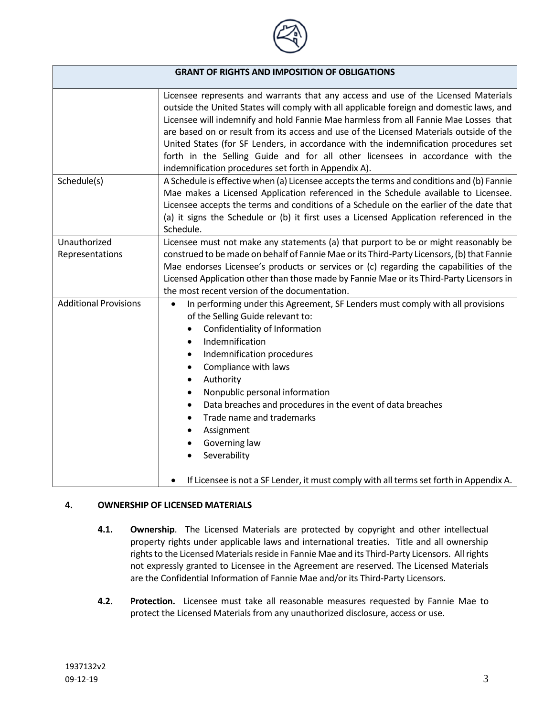

| <b>GRANT OF RIGHTS AND IMPOSITION OF OBLIGATIONS</b> |                                                                                                                                                                                                                                                                                                                                                                                                                                                                                                                                                                                                              |
|------------------------------------------------------|--------------------------------------------------------------------------------------------------------------------------------------------------------------------------------------------------------------------------------------------------------------------------------------------------------------------------------------------------------------------------------------------------------------------------------------------------------------------------------------------------------------------------------------------------------------------------------------------------------------|
|                                                      | Licensee represents and warrants that any access and use of the Licensed Materials<br>outside the United States will comply with all applicable foreign and domestic laws, and<br>Licensee will indemnify and hold Fannie Mae harmless from all Fannie Mae Losses that<br>are based on or result from its access and use of the Licensed Materials outside of the<br>United States (for SF Lenders, in accordance with the indemnification procedures set<br>forth in the Selling Guide and for all other licensees in accordance with the<br>indemnification procedures set forth in Appendix A).           |
| Schedule(s)                                          | A Schedule is effective when (a) Licensee accepts the terms and conditions and (b) Fannie<br>Mae makes a Licensed Application referenced in the Schedule available to Licensee.<br>Licensee accepts the terms and conditions of a Schedule on the earlier of the date that<br>(a) it signs the Schedule or (b) it first uses a Licensed Application referenced in the<br>Schedule.                                                                                                                                                                                                                           |
| Unauthorized<br>Representations                      | Licensee must not make any statements (a) that purport to be or might reasonably be<br>construed to be made on behalf of Fannie Mae or its Third-Party Licensors, (b) that Fannie<br>Mae endorses Licensee's products or services or (c) regarding the capabilities of the<br>Licensed Application other than those made by Fannie Mae or its Third-Party Licensors in<br>the most recent version of the documentation.                                                                                                                                                                                      |
| <b>Additional Provisions</b>                         | In performing under this Agreement, SF Lenders must comply with all provisions<br>$\bullet$<br>of the Selling Guide relevant to:<br>Confidentiality of Information<br>Indemnification<br>$\bullet$<br>Indemnification procedures<br>$\bullet$<br>Compliance with laws<br>$\bullet$<br>Authority<br>$\bullet$<br>Nonpublic personal information<br>$\bullet$<br>Data breaches and procedures in the event of data breaches<br>$\bullet$<br>Trade name and trademarks<br>Assignment<br>Governing law<br>Severability<br>If Licensee is not a SF Lender, it must comply with all terms set forth in Appendix A. |

## **4. OWNERSHIP OF LICENSED MATERIALS**

- **4.1. Ownership**. The Licensed Materials are protected by copyright and other intellectual property rights under applicable laws and international treaties. Title and all ownership rights to the Licensed Materials reside in Fannie Mae and its Third-Party Licensors. All rights not expressly granted to Licensee in the Agreement are reserved. The Licensed Materials are the Confidential Information of Fannie Mae and/or its Third-Party Licensors.
- **4.2. Protection.** Licensee must take all reasonable measures requested by Fannie Mae to protect the Licensed Materials from any unauthorized disclosure, access or use.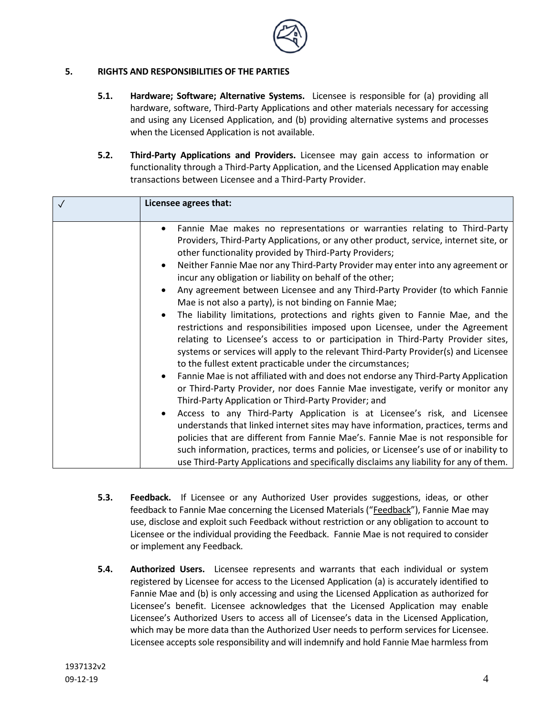

## **5. RIGHTS AND RESPONSIBILITIES OF THE PARTIES**

- **5.1. Hardware; Software; Alternative Systems.** Licensee is responsible for (a) providing all hardware, software, Third-Party Applications and other materials necessary for accessing and using any Licensed Application, and (b) providing alternative systems and processes when the Licensed Application is not available.
- **5.2. Third-Party Applications and Providers.** Licensee may gain access to information or functionality through a Third-Party Application, and the Licensed Application may enable transactions between Licensee and a Third-Party Provider.

| Licensee agrees that:                                                                                                                                                                                                                                                                                                                                                                                                                                                                                                                                                                                                                                                                                                                                                                                                                                                                                                                                                                                                                                                                                                                                                                                                                                                                                                                                                                                                                                                                                                                                                                                                                               |
|-----------------------------------------------------------------------------------------------------------------------------------------------------------------------------------------------------------------------------------------------------------------------------------------------------------------------------------------------------------------------------------------------------------------------------------------------------------------------------------------------------------------------------------------------------------------------------------------------------------------------------------------------------------------------------------------------------------------------------------------------------------------------------------------------------------------------------------------------------------------------------------------------------------------------------------------------------------------------------------------------------------------------------------------------------------------------------------------------------------------------------------------------------------------------------------------------------------------------------------------------------------------------------------------------------------------------------------------------------------------------------------------------------------------------------------------------------------------------------------------------------------------------------------------------------------------------------------------------------------------------------------------------------|
| Fannie Mae makes no representations or warranties relating to Third-Party<br>$\bullet$<br>Providers, Third-Party Applications, or any other product, service, internet site, or<br>other functionality provided by Third-Party Providers;<br>Neither Fannie Mae nor any Third-Party Provider may enter into any agreement or<br>$\bullet$<br>incur any obligation or liability on behalf of the other;<br>Any agreement between Licensee and any Third-Party Provider (to which Fannie<br>Mae is not also a party), is not binding on Fannie Mae;<br>The liability limitations, protections and rights given to Fannie Mae, and the<br>$\bullet$<br>restrictions and responsibilities imposed upon Licensee, under the Agreement<br>relating to Licensee's access to or participation in Third-Party Provider sites,<br>systems or services will apply to the relevant Third-Party Provider(s) and Licensee<br>to the fullest extent practicable under the circumstances;<br>Fannie Mae is not affiliated with and does not endorse any Third-Party Application<br>or Third-Party Provider, nor does Fannie Mae investigate, verify or monitor any<br>Third-Party Application or Third-Party Provider; and<br>Access to any Third-Party Application is at Licensee's risk, and Licensee<br>understands that linked internet sites may have information, practices, terms and<br>policies that are different from Fannie Mae's. Fannie Mae is not responsible for<br>such information, practices, terms and policies, or Licensee's use of or inability to<br>use Third-Party Applications and specifically disclaims any liability for any of them. |

- **5.3. Feedback.** If Licensee or any Authorized User provides suggestions, ideas, or other feedback to Fannie Mae concerning the Licensed Materials ("Feedback"), Fannie Mae may use, disclose and exploit such Feedback without restriction or any obligation to account to Licensee or the individual providing the Feedback. Fannie Mae is not required to consider or implement any Feedback.
- **5.4. Authorized Users.** Licensee represents and warrants that each individual or system registered by Licensee for access to the Licensed Application (a) is accurately identified to Fannie Mae and (b) is only accessing and using the Licensed Application as authorized for Licensee's benefit. Licensee acknowledges that the Licensed Application may enable Licensee's Authorized Users to access all of Licensee's data in the Licensed Application, which may be more data than the Authorized User needs to perform services for Licensee. Licensee accepts sole responsibility and will indemnify and hold Fannie Mae harmless from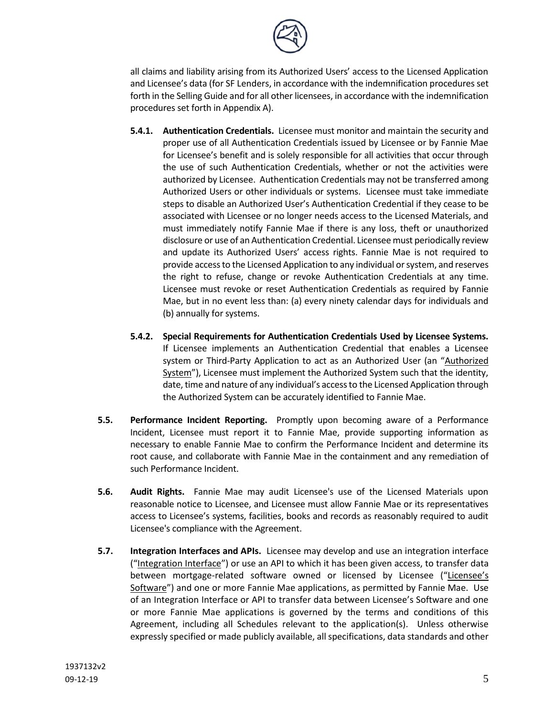

all claims and liability arising from its Authorized Users' access to the Licensed Application and Licensee's data (for SF Lenders, in accordance with the indemnification procedures set forth in the Selling Guide and for all other licensees, in accordance with the indemnification procedures set forth in Appendix A).

- **5.4.1. Authentication Credentials.** Licensee must monitor and maintain the security and proper use of all Authentication Credentials issued by Licensee or by Fannie Mae for Licensee's benefit and is solely responsible for all activities that occur through the use of such Authentication Credentials, whether or not the activities were authorized by Licensee. Authentication Credentials may not be transferred among Authorized Users or other individuals or systems. Licensee must take immediate steps to disable an Authorized User's Authentication Credential if they cease to be associated with Licensee or no longer needs access to the Licensed Materials, and must immediately notify Fannie Mae if there is any loss, theft or unauthorized disclosure or use of an Authentication Credential. Licensee must periodically review and update its Authorized Users' access rights. Fannie Mae is not required to provide access to the Licensed Application to any individual or system, and reserves the right to refuse, change or revoke Authentication Credentials at any time. Licensee must revoke or reset Authentication Credentials as required by Fannie Mae, but in no event less than: (a) every ninety calendar days for individuals and (b) annually for systems.
- **5.4.2. Special Requirements for Authentication Credentials Used by Licensee Systems.** If Licensee implements an Authentication Credential that enables a Licensee system or Third-Party Application to act as an Authorized User (an "Authorized System"), Licensee must implement the Authorized System such that the identity, date, time and nature of any individual's access to the Licensed Application through the Authorized System can be accurately identified to Fannie Mae.
- **5.5. Performance Incident Reporting.** Promptly upon becoming aware of a Performance Incident, Licensee must report it to Fannie Mae, provide supporting information as necessary to enable Fannie Mae to confirm the Performance Incident and determine its root cause, and collaborate with Fannie Mae in the containment and any remediation of such Performance Incident.
- **5.6. Audit Rights.** Fannie Mae may audit Licensee's use of the Licensed Materials upon reasonable notice to Licensee, and Licensee must allow Fannie Mae or its representatives access to Licensee's systems, facilities, books and records as reasonably required to audit Licensee's compliance with the Agreement.
- **5.7. Integration Interfaces and APIs.** Licensee may develop and use an integration interface ("Integration Interface") or use an API to which it has been given access, to transfer data between mortgage-related software owned or licensed by Licensee ("Licensee's Software") and one or more Fannie Mae applications, as permitted by Fannie Mae. Use of an Integration Interface or API to transfer data between Licensee's Software and one or more Fannie Mae applications is governed by the terms and conditions of this Agreement, including all Schedules relevant to the application(s). Unless otherwise expressly specified or made publicly available, all specifications, data standards and other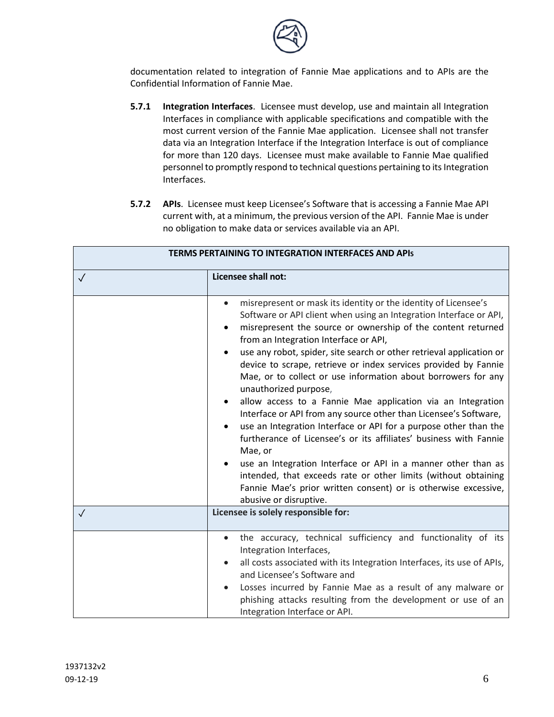

documentation related to integration of Fannie Mae applications and to APIs are the Confidential Information of Fannie Mae.

- **5.7.1 Integration Interfaces**. Licensee must develop, use and maintain all Integration Interfaces in compliance with applicable specifications and compatible with the most current version of the Fannie Mae application. Licensee shall not transfer data via an Integration Interface if the Integration Interface is out of compliance for more than 120 days. Licensee must make available to Fannie Mae qualified personnel to promptly respond to technical questions pertaining to its Integration Interfaces.
- **5.7.2 APIs**. Licensee must keep Licensee's Software that is accessing a Fannie Mae API current with, at a minimum, the previous version of the API. Fannie Mae is under no obligation to make data or services available via an API.

| <b>TERMS PERTAINING TO INTEGRATION INTERFACES AND APIS</b> |                                                                                                                                                                                                                                                                                                                                                                                                                                                                                                                                                                                                                                                                                                                                                                                                                                                                                                                                                                                                                             |
|------------------------------------------------------------|-----------------------------------------------------------------------------------------------------------------------------------------------------------------------------------------------------------------------------------------------------------------------------------------------------------------------------------------------------------------------------------------------------------------------------------------------------------------------------------------------------------------------------------------------------------------------------------------------------------------------------------------------------------------------------------------------------------------------------------------------------------------------------------------------------------------------------------------------------------------------------------------------------------------------------------------------------------------------------------------------------------------------------|
| $\checkmark$                                               | Licensee shall not:                                                                                                                                                                                                                                                                                                                                                                                                                                                                                                                                                                                                                                                                                                                                                                                                                                                                                                                                                                                                         |
|                                                            | misrepresent or mask its identity or the identity of Licensee's<br>$\bullet$<br>Software or API client when using an Integration Interface or API,<br>misrepresent the source or ownership of the content returned<br>from an Integration Interface or API,<br>use any robot, spider, site search or other retrieval application or<br>device to scrape, retrieve or index services provided by Fannie<br>Mae, or to collect or use information about borrowers for any<br>unauthorized purpose,<br>allow access to a Fannie Mae application via an Integration<br>٠<br>Interface or API from any source other than Licensee's Software,<br>use an Integration Interface or API for a purpose other than the<br>furtherance of Licensee's or its affiliates' business with Fannie<br>Mae, or<br>use an Integration Interface or API in a manner other than as<br>intended, that exceeds rate or other limits (without obtaining<br>Fannie Mae's prior written consent) or is otherwise excessive,<br>abusive or disruptive. |
| $\sqrt{}$                                                  | Licensee is solely responsible for:                                                                                                                                                                                                                                                                                                                                                                                                                                                                                                                                                                                                                                                                                                                                                                                                                                                                                                                                                                                         |
|                                                            | the accuracy, technical sufficiency and functionality of its<br>$\bullet$<br>Integration Interfaces,<br>all costs associated with its Integration Interfaces, its use of APIs,<br>٠<br>and Licensee's Software and<br>Losses incurred by Fannie Mae as a result of any malware or<br>phishing attacks resulting from the development or use of an<br>Integration Interface or API.                                                                                                                                                                                                                                                                                                                                                                                                                                                                                                                                                                                                                                          |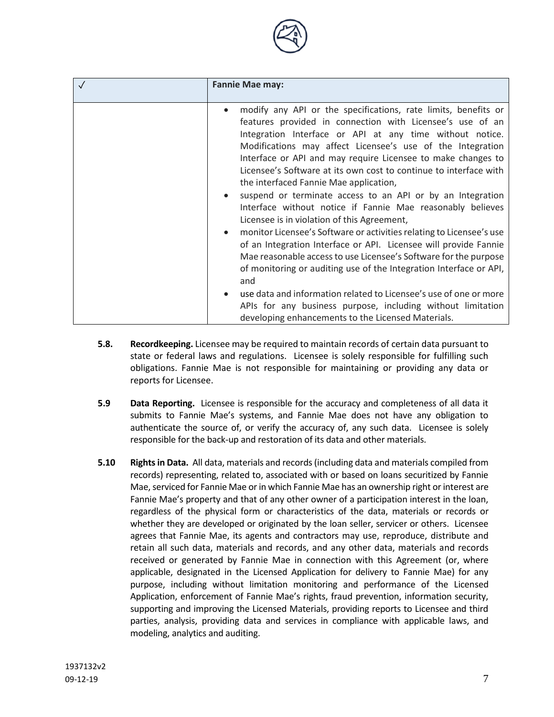| <b>Fannie Mae may:</b>                                                                                                                                                                                                                                                                                                                                                                                                                                                                                                                                                                                                                                                                                                                                                                                                                                                                                                                                                                                                                                                                                 |
|--------------------------------------------------------------------------------------------------------------------------------------------------------------------------------------------------------------------------------------------------------------------------------------------------------------------------------------------------------------------------------------------------------------------------------------------------------------------------------------------------------------------------------------------------------------------------------------------------------------------------------------------------------------------------------------------------------------------------------------------------------------------------------------------------------------------------------------------------------------------------------------------------------------------------------------------------------------------------------------------------------------------------------------------------------------------------------------------------------|
| modify any API or the specifications, rate limits, benefits or<br>features provided in connection with Licensee's use of an<br>Integration Interface or API at any time without notice.<br>Modifications may affect Licensee's use of the Integration<br>Interface or API and may require Licensee to make changes to<br>Licensee's Software at its own cost to continue to interface with<br>the interfaced Fannie Mae application,<br>suspend or terminate access to an API or by an Integration<br>Interface without notice if Fannie Mae reasonably believes<br>Licensee is in violation of this Agreement,<br>monitor Licensee's Software or activities relating to Licensee's use<br>of an Integration Interface or API. Licensee will provide Fannie<br>Mae reasonable access to use Licensee's Software for the purpose<br>of monitoring or auditing use of the Integration Interface or API,<br>and<br>use data and information related to Licensee's use of one or more<br>APIs for any business purpose, including without limitation<br>developing enhancements to the Licensed Materials. |

- **5.8. Recordkeeping.** Licensee may be required to maintain records of certain data pursuant to state or federal laws and regulations. Licensee is solely responsible for fulfilling such obligations. Fannie Mae is not responsible for maintaining or providing any data or reports for Licensee.
- **5.9 Data Reporting.** Licensee is responsible for the accuracy and completeness of all data it submits to Fannie Mae's systems, and Fannie Mae does not have any obligation to authenticate the source of, or verify the accuracy of, any such data. Licensee is solely responsible for the back-up and restoration of its data and other materials.
- **5.10 Rights in Data.** All data, materials and records (including data and materials compiled from records) representing, related to, associated with or based on loans securitized by Fannie Mae, serviced for Fannie Mae or in which Fannie Mae has an ownership right or interest are Fannie Mae's property and that of any other owner of a participation interest in the loan, regardless of the physical form or characteristics of the data, materials or records or whether they are developed or originated by the loan seller, servicer or others. Licensee agrees that Fannie Mae, its agents and contractors may use, reproduce, distribute and retain all such data, materials and records, and any other data, materials and records received or generated by Fannie Mae in connection with this Agreement (or, where applicable, designated in the Licensed Application for delivery to Fannie Mae) for any purpose, including without limitation monitoring and performance of the Licensed Application, enforcement of Fannie Mae's rights, fraud prevention, information security, supporting and improving the Licensed Materials, providing reports to Licensee and third parties, analysis, providing data and services in compliance with applicable laws, and modeling, analytics and auditing.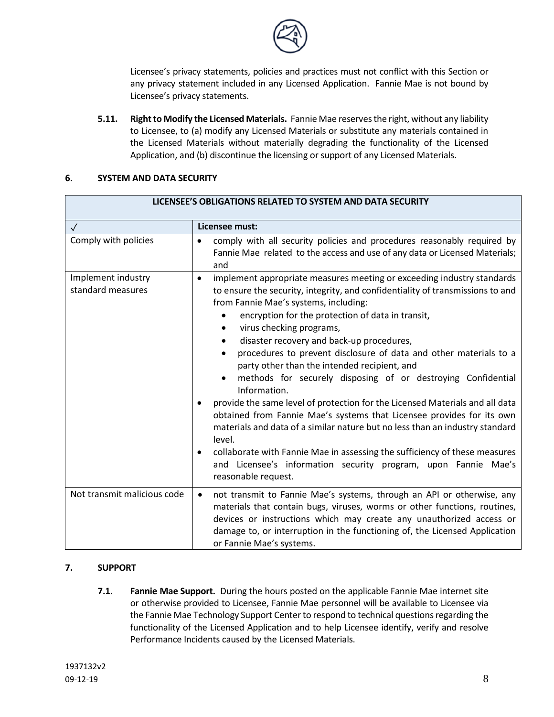

Licensee's privacy statements, policies and practices must not conflict with this Section or any privacy statement included in any Licensed Application. Fannie Mae is not bound by Licensee's privacy statements.

**5.11. Right to Modify the Licensed Materials.** Fannie Mae reserves the right, without any liability to Licensee, to (a) modify any Licensed Materials or substitute any materials contained in the Licensed Materials without materially degrading the functionality of the Licensed Application, and (b) discontinue the licensing or support of any Licensed Materials.

### **6. SYSTEM AND DATA SECURITY**

| LICENSEE'S OBLIGATIONS RELATED TO SYSTEM AND DATA SECURITY |                                                                                                                                                                                                                                                                                                                                                                                                                                                                                                                                                                                                                                                                                                                                                                                                                                                                                                                                                                                                       |
|------------------------------------------------------------|-------------------------------------------------------------------------------------------------------------------------------------------------------------------------------------------------------------------------------------------------------------------------------------------------------------------------------------------------------------------------------------------------------------------------------------------------------------------------------------------------------------------------------------------------------------------------------------------------------------------------------------------------------------------------------------------------------------------------------------------------------------------------------------------------------------------------------------------------------------------------------------------------------------------------------------------------------------------------------------------------------|
| $\checkmark$                                               | Licensee must:                                                                                                                                                                                                                                                                                                                                                                                                                                                                                                                                                                                                                                                                                                                                                                                                                                                                                                                                                                                        |
| Comply with policies                                       | comply with all security policies and procedures reasonably required by<br>Fannie Mae related to the access and use of any data or Licensed Materials;<br>and                                                                                                                                                                                                                                                                                                                                                                                                                                                                                                                                                                                                                                                                                                                                                                                                                                         |
| Implement industry<br>standard measures                    | implement appropriate measures meeting or exceeding industry standards<br>$\bullet$<br>to ensure the security, integrity, and confidentiality of transmissions to and<br>from Fannie Mae's systems, including:<br>encryption for the protection of data in transit,<br>virus checking programs,<br>$\bullet$<br>disaster recovery and back-up procedures,<br>procedures to prevent disclosure of data and other materials to a<br>$\bullet$<br>party other than the intended recipient, and<br>methods for securely disposing of or destroying Confidential<br>Information.<br>provide the same level of protection for the Licensed Materials and all data<br>obtained from Fannie Mae's systems that Licensee provides for its own<br>materials and data of a similar nature but no less than an industry standard<br>level.<br>collaborate with Fannie Mae in assessing the sufficiency of these measures<br>and Licensee's information security program, upon Fannie Mae's<br>reasonable request. |
| Not transmit malicious code                                | not transmit to Fannie Mae's systems, through an API or otherwise, any<br>$\bullet$<br>materials that contain bugs, viruses, worms or other functions, routines,<br>devices or instructions which may create any unauthorized access or<br>damage to, or interruption in the functioning of, the Licensed Application<br>or Fannie Mae's systems.                                                                                                                                                                                                                                                                                                                                                                                                                                                                                                                                                                                                                                                     |

## **7. SUPPORT**

**7.1. Fannie Mae Support.** During the hours posted on the applicable Fannie Mae internet site or otherwise provided to Licensee, Fannie Mae personnel will be available to Licensee via the Fannie Mae Technology Support Center to respond to technical questions regarding the functionality of the Licensed Application and to help Licensee identify, verify and resolve Performance Incidents caused by the Licensed Materials.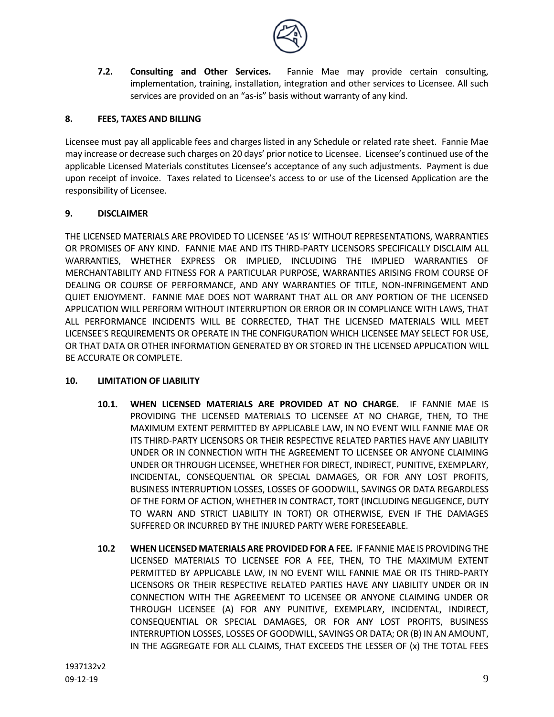

**7.2. Consulting and Other Services.** Fannie Mae may provide certain consulting, implementation, training, installation, integration and other services to Licensee. All such services are provided on an "as-is" basis without warranty of any kind.

## **8. FEES, TAXES AND BILLING**

Licensee must pay all applicable fees and charges listed in any Schedule or related rate sheet. Fannie Mae may increase or decrease such charges on 20 days' prior notice to Licensee. Licensee's continued use of the applicable Licensed Materials constitutes Licensee's acceptance of any such adjustments. Payment is due upon receipt of invoice. Taxes related to Licensee's access to or use of the Licensed Application are the responsibility of Licensee.

#### **9. DISCLAIMER**

THE LICENSED MATERIALS ARE PROVIDED TO LICENSEE 'AS IS' WITHOUT REPRESENTATIONS, WARRANTIES OR PROMISES OF ANY KIND. FANNIE MAE AND ITS THIRD-PARTY LICENSORS SPECIFICALLY DISCLAIM ALL WARRANTIES, WHETHER EXPRESS OR IMPLIED, INCLUDING THE IMPLIED WARRANTIES OF MERCHANTABILITY AND FITNESS FOR A PARTICULAR PURPOSE, WARRANTIES ARISING FROM COURSE OF DEALING OR COURSE OF PERFORMANCE, AND ANY WARRANTIES OF TITLE, NON-INFRINGEMENT AND QUIET ENJOYMENT. FANNIE MAE DOES NOT WARRANT THAT ALL OR ANY PORTION OF THE LICENSED APPLICATION WILL PERFORM WITHOUT INTERRUPTION OR ERROR OR IN COMPLIANCE WITH LAWS, THAT ALL PERFORMANCE INCIDENTS WILL BE CORRECTED, THAT THE LICENSED MATERIALS WILL MEET LICENSEE'S REQUIREMENTS OR OPERATE IN THE CONFIGURATION WHICH LICENSEE MAY SELECT FOR USE, OR THAT DATA OR OTHER INFORMATION GENERATED BY OR STORED IN THE LICENSED APPLICATION WILL BE ACCURATE OR COMPLETE.

#### **10. LIMITATION OF LIABILITY**

- **10.1. WHEN LICENSED MATERIALS ARE PROVIDED AT NO CHARGE.** IF FANNIE MAE IS PROVIDING THE LICENSED MATERIALS TO LICENSEE AT NO CHARGE, THEN, TO THE MAXIMUM EXTENT PERMITTED BY APPLICABLE LAW, IN NO EVENT WILL FANNIE MAE OR ITS THIRD-PARTY LICENSORS OR THEIR RESPECTIVE RELATED PARTIES HAVE ANY LIABILITY UNDER OR IN CONNECTION WITH THE AGREEMENT TO LICENSEE OR ANYONE CLAIMING UNDER OR THROUGH LICENSEE, WHETHER FOR DIRECT, INDIRECT, PUNITIVE, EXEMPLARY, INCIDENTAL, CONSEQUENTIAL OR SPECIAL DAMAGES, OR FOR ANY LOST PROFITS, BUSINESS INTERRUPTION LOSSES, LOSSES OF GOODWILL, SAVINGS OR DATA REGARDLESS OF THE FORM OF ACTION, WHETHER IN CONTRACT, TORT (INCLUDING NEGLIGENCE, DUTY TO WARN AND STRICT LIABILITY IN TORT) OR OTHERWISE, EVEN IF THE DAMAGES SUFFERED OR INCURRED BY THE INJURED PARTY WERE FORESEEABLE.
- **10.2 WHEN LICENSED MATERIALS ARE PROVIDED FOR A FEE.** IF FANNIE MAE IS PROVIDING THE LICENSED MATERIALS TO LICENSEE FOR A FEE, THEN, TO THE MAXIMUM EXTENT PERMITTED BY APPLICABLE LAW, IN NO EVENT WILL FANNIE MAE OR ITS THIRD-PARTY LICENSORS OR THEIR RESPECTIVE RELATED PARTIES HAVE ANY LIABILITY UNDER OR IN CONNECTION WITH THE AGREEMENT TO LICENSEE OR ANYONE CLAIMING UNDER OR THROUGH LICENSEE (A) FOR ANY PUNITIVE, EXEMPLARY, INCIDENTAL, INDIRECT, CONSEQUENTIAL OR SPECIAL DAMAGES, OR FOR ANY LOST PROFITS, BUSINESS INTERRUPTION LOSSES, LOSSES OF GOODWILL, SAVINGS OR DATA; OR (B) IN AN AMOUNT, IN THE AGGREGATE FOR ALL CLAIMS, THAT EXCEEDS THE LESSER OF (x) THE TOTAL FEES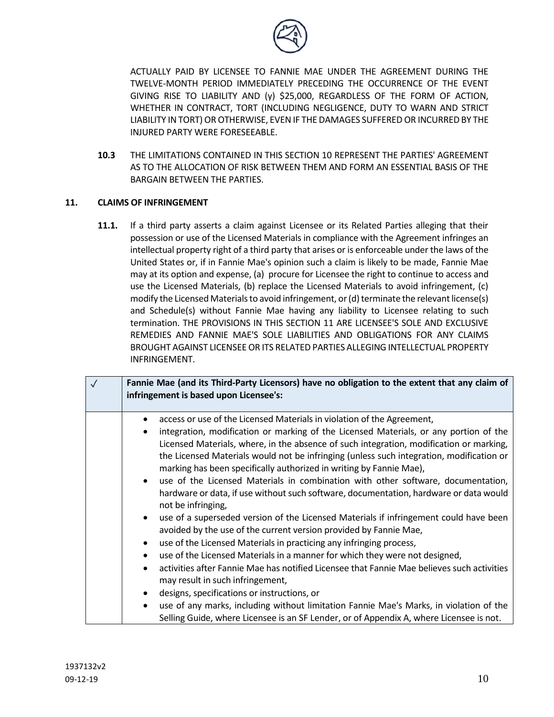

ACTUALLY PAID BY LICENSEE TO FANNIE MAE UNDER THE AGREEMENT DURING THE TWELVE-MONTH PERIOD IMMEDIATELY PRECEDING THE OCCURRENCE OF THE EVENT GIVING RISE TO LIABILITY AND (y) \$25,000, REGARDLESS OF THE FORM OF ACTION, WHETHER IN CONTRACT, TORT (INCLUDING NEGLIGENCE, DUTY TO WARN AND STRICT LIABILITY IN TORT) OR OTHERWISE, EVEN IF THE DAMAGES SUFFERED OR INCURRED BY THE INJURED PARTY WERE FORESEEABLE.

**10.3** THE LIMITATIONS CONTAINED IN THIS SECTION 10 REPRESENT THE PARTIES' AGREEMENT AS TO THE ALLOCATION OF RISK BETWEEN THEM AND FORM AN ESSENTIAL BASIS OF THE BARGAIN BETWEEN THE PARTIES.

#### **11. CLAIMS OF INFRINGEMENT**

**11.1.** If a third party asserts a claim against Licensee or its Related Parties alleging that their possession or use of the Licensed Materials in compliance with the Agreement infringes an intellectual property right of a third party that arises or is enforceable under the laws of the United States or, if in Fannie Mae's opinion such a claim is likely to be made, Fannie Mae may at its option and expense, (a) procure for Licensee the right to continue to access and use the Licensed Materials, (b) replace the Licensed Materials to avoid infringement, (c) modify the Licensed Materials to avoid infringement, or (d) terminate the relevant license(s) and Schedule(s) without Fannie Mae having any liability to Licensee relating to such termination. THE PROVISIONS IN THIS SECTION 11 ARE LICENSEE'S SOLE AND EXCLUSIVE REMEDIES AND FANNIE MAE'S SOLE LIABILITIES AND OBLIGATIONS FOR ANY CLAIMS BROUGHT AGAINST LICENSEE OR ITS RELATED PARTIES ALLEGING INTELLECTUAL PROPERTY INFRINGEMENT.

| $\sqrt{}$ | Fannie Mae (and its Third-Party Licensors) have no obligation to the extent that any claim of<br>infringement is based upon Licensee's:                                 |
|-----------|-------------------------------------------------------------------------------------------------------------------------------------------------------------------------|
|           | access or use of the Licensed Materials in violation of the Agreement,                                                                                                  |
|           | integration, modification or marking of the Licensed Materials, or any portion of the                                                                                   |
|           | Licensed Materials, where, in the absence of such integration, modification or marking,                                                                                 |
|           | the Licensed Materials would not be infringing (unless such integration, modification or<br>marking has been specifically authorized in writing by Fannie Mae),         |
|           | use of the Licensed Materials in combination with other software, documentation,<br>$\bullet$                                                                           |
|           | hardware or data, if use without such software, documentation, hardware or data would<br>not be infringing,                                                             |
|           | use of a superseded version of the Licensed Materials if infringement could have been<br>$\bullet$<br>avoided by the use of the current version provided by Fannie Mae, |
|           | use of the Licensed Materials in practicing any infringing process,<br>٠                                                                                                |
|           | use of the Licensed Materials in a manner for which they were not designed,<br>٠                                                                                        |
|           | activities after Fannie Mae has notified Licensee that Fannie Mae believes such activities<br>٠<br>may result in such infringement,                                     |
|           | designs, specifications or instructions, or<br>٠                                                                                                                        |
|           | use of any marks, including without limitation Fannie Mae's Marks, in violation of the<br>$\bullet$                                                                     |
|           | Selling Guide, where Licensee is an SF Lender, or of Appendix A, where Licensee is not.                                                                                 |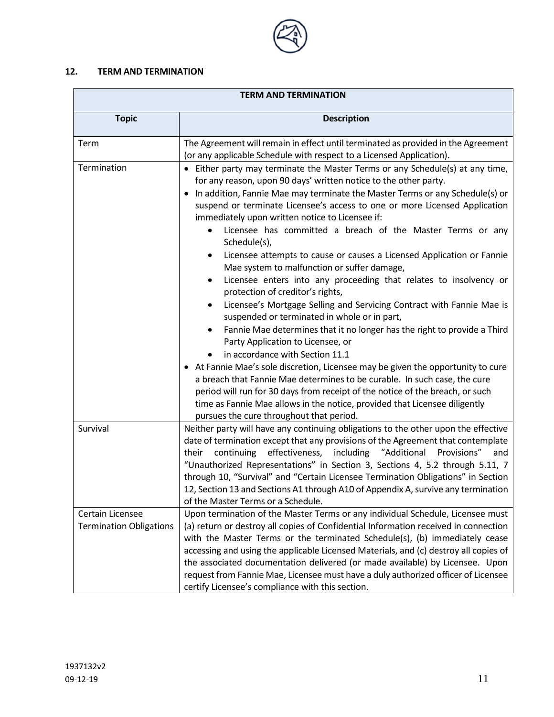

# **12. TERM AND TERMINATION**

| <b>TERM AND TERMINATION</b>                        |                                                                                                                                                                                                                                                                                                                                                                                                                                                                                                                                                                                                                                                                                                                                                                                                                                                                                                                                                                                                                                                                                                                                                                                                                                                                                                           |
|----------------------------------------------------|-----------------------------------------------------------------------------------------------------------------------------------------------------------------------------------------------------------------------------------------------------------------------------------------------------------------------------------------------------------------------------------------------------------------------------------------------------------------------------------------------------------------------------------------------------------------------------------------------------------------------------------------------------------------------------------------------------------------------------------------------------------------------------------------------------------------------------------------------------------------------------------------------------------------------------------------------------------------------------------------------------------------------------------------------------------------------------------------------------------------------------------------------------------------------------------------------------------------------------------------------------------------------------------------------------------|
| <b>Topic</b>                                       | <b>Description</b>                                                                                                                                                                                                                                                                                                                                                                                                                                                                                                                                                                                                                                                                                                                                                                                                                                                                                                                                                                                                                                                                                                                                                                                                                                                                                        |
| Term                                               | The Agreement will remain in effect until terminated as provided in the Agreement<br>(or any applicable Schedule with respect to a Licensed Application).                                                                                                                                                                                                                                                                                                                                                                                                                                                                                                                                                                                                                                                                                                                                                                                                                                                                                                                                                                                                                                                                                                                                                 |
| Termination                                        | Either party may terminate the Master Terms or any Schedule(s) at any time,<br>$\bullet$<br>for any reason, upon 90 days' written notice to the other party.<br>In addition, Fannie Mae may terminate the Master Terms or any Schedule(s) or<br>$\bullet$<br>suspend or terminate Licensee's access to one or more Licensed Application<br>immediately upon written notice to Licensee if:<br>Licensee has committed a breach of the Master Terms or any<br>$\bullet$<br>Schedule(s),<br>Licensee attempts to cause or causes a Licensed Application or Fannie<br>$\bullet$<br>Mae system to malfunction or suffer damage,<br>Licensee enters into any proceeding that relates to insolvency or<br>$\bullet$<br>protection of creditor's rights,<br>Licensee's Mortgage Selling and Servicing Contract with Fannie Mae is<br>$\bullet$<br>suspended or terminated in whole or in part,<br>Fannie Mae determines that it no longer has the right to provide a Third<br>$\bullet$<br>Party Application to Licensee, or<br>in accordance with Section 11.1<br>• At Fannie Mae's sole discretion, Licensee may be given the opportunity to cure<br>a breach that Fannie Mae determines to be curable. In such case, the cure<br>period will run for 30 days from receipt of the notice of the breach, or such |
|                                                    | time as Fannie Mae allows in the notice, provided that Licensee diligently<br>pursues the cure throughout that period.                                                                                                                                                                                                                                                                                                                                                                                                                                                                                                                                                                                                                                                                                                                                                                                                                                                                                                                                                                                                                                                                                                                                                                                    |
| Survival                                           | Neither party will have any continuing obligations to the other upon the effective<br>date of termination except that any provisions of the Agreement that contemplate<br>continuing effectiveness,<br>including<br>"Additional<br>Provisions"<br>and<br>their<br>"Unauthorized Representations" in Section 3, Sections 4, 5.2 through 5.11, 7<br>through 10, "Survival" and "Certain Licensee Termination Obligations" in Section<br>12, Section 13 and Sections A1 through A10 of Appendix A, survive any termination<br>of the Master Terms or a Schedule.                                                                                                                                                                                                                                                                                                                                                                                                                                                                                                                                                                                                                                                                                                                                             |
| Certain Licensee<br><b>Termination Obligations</b> | Upon termination of the Master Terms or any individual Schedule, Licensee must<br>(a) return or destroy all copies of Confidential Information received in connection<br>with the Master Terms or the terminated Schedule(s), (b) immediately cease<br>accessing and using the applicable Licensed Materials, and (c) destroy all copies of<br>the associated documentation delivered (or made available) by Licensee. Upon<br>request from Fannie Mae, Licensee must have a duly authorized officer of Licensee<br>certify Licensee's compliance with this section.                                                                                                                                                                                                                                                                                                                                                                                                                                                                                                                                                                                                                                                                                                                                      |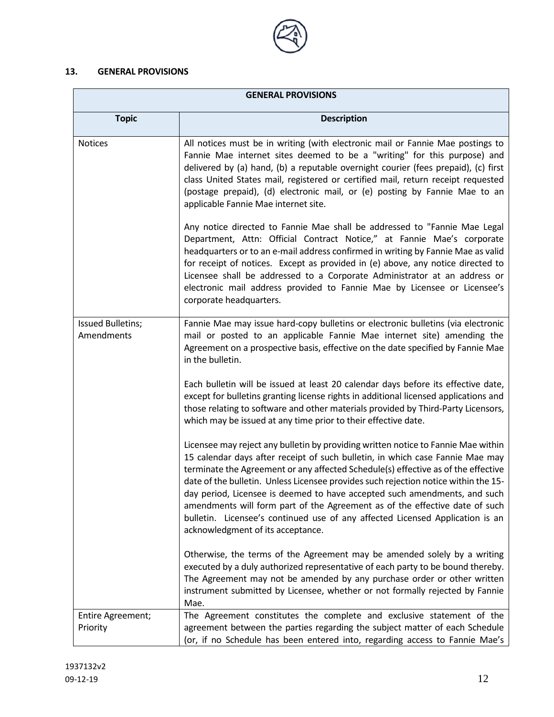# **13. GENERAL PROVISIONS**

 $\blacksquare$ 

| <b>GENERAL PROVISIONS</b>              |                                                                                                                                                                                                                                                                                                                                                                                                                                                                                                                                                                                                                                  |
|----------------------------------------|----------------------------------------------------------------------------------------------------------------------------------------------------------------------------------------------------------------------------------------------------------------------------------------------------------------------------------------------------------------------------------------------------------------------------------------------------------------------------------------------------------------------------------------------------------------------------------------------------------------------------------|
| <b>Topic</b>                           | <b>Description</b>                                                                                                                                                                                                                                                                                                                                                                                                                                                                                                                                                                                                               |
| <b>Notices</b>                         | All notices must be in writing (with electronic mail or Fannie Mae postings to<br>Fannie Mae internet sites deemed to be a "writing" for this purpose) and<br>delivered by (a) hand, (b) a reputable overnight courier (fees prepaid), (c) first<br>class United States mail, registered or certified mail, return receipt requested<br>(postage prepaid), (d) electronic mail, or (e) posting by Fannie Mae to an<br>applicable Fannie Mae internet site.                                                                                                                                                                       |
|                                        | Any notice directed to Fannie Mae shall be addressed to "Fannie Mae Legal<br>Department, Attn: Official Contract Notice," at Fannie Mae's corporate<br>headquarters or to an e-mail address confirmed in writing by Fannie Mae as valid<br>for receipt of notices. Except as provided in (e) above, any notice directed to<br>Licensee shall be addressed to a Corporate Administrator at an address or<br>electronic mail address provided to Fannie Mae by Licensee or Licensee's<br>corporate headquarters.                                                                                                                   |
| <b>Issued Bulletins;</b><br>Amendments | Fannie Mae may issue hard-copy bulletins or electronic bulletins (via electronic<br>mail or posted to an applicable Fannie Mae internet site) amending the<br>Agreement on a prospective basis, effective on the date specified by Fannie Mae<br>in the bulletin.                                                                                                                                                                                                                                                                                                                                                                |
|                                        | Each bulletin will be issued at least 20 calendar days before its effective date,<br>except for bulletins granting license rights in additional licensed applications and<br>those relating to software and other materials provided by Third-Party Licensors,<br>which may be issued at any time prior to their effective date.                                                                                                                                                                                                                                                                                                 |
|                                        | Licensee may reject any bulletin by providing written notice to Fannie Mae within<br>15 calendar days after receipt of such bulletin, in which case Fannie Mae may<br>terminate the Agreement or any affected Schedule(s) effective as of the effective<br>date of the bulletin. Unless Licensee provides such rejection notice within the 15-<br>day period, Licensee is deemed to have accepted such amendments, and such<br>amendments will form part of the Agreement as of the effective date of such<br>bulletin. Licensee's continued use of any affected Licensed Application is an<br>acknowledgment of its acceptance. |
|                                        | Otherwise, the terms of the Agreement may be amended solely by a writing<br>executed by a duly authorized representative of each party to be bound thereby.<br>The Agreement may not be amended by any purchase order or other written<br>instrument submitted by Licensee, whether or not formally rejected by Fannie<br>Mae.                                                                                                                                                                                                                                                                                                   |
| Entire Agreement;<br>Priority          | The Agreement constitutes the complete and exclusive statement of the<br>agreement between the parties regarding the subject matter of each Schedule<br>(or, if no Schedule has been entered into, regarding access to Fannie Mae's                                                                                                                                                                                                                                                                                                                                                                                              |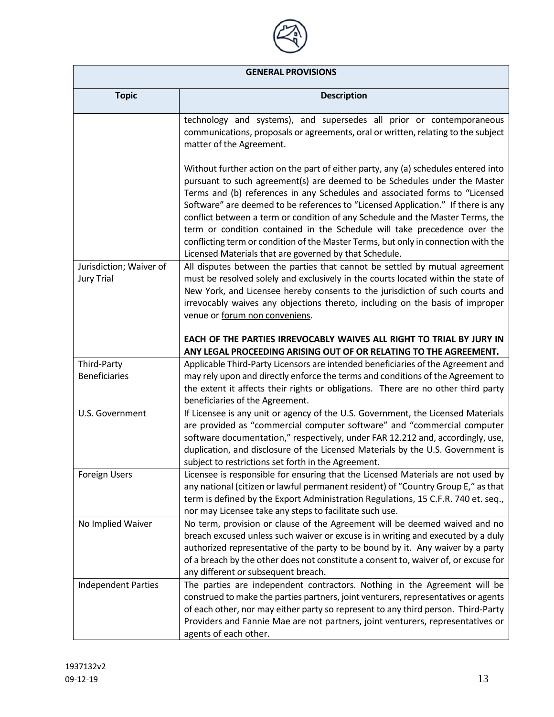

| <b>GENERAL PROVISIONS</b>                    |                                                                                                                                                                                                                                                                                                                                                                                                                                                                                                                                                                                                                                                   |
|----------------------------------------------|---------------------------------------------------------------------------------------------------------------------------------------------------------------------------------------------------------------------------------------------------------------------------------------------------------------------------------------------------------------------------------------------------------------------------------------------------------------------------------------------------------------------------------------------------------------------------------------------------------------------------------------------------|
| <b>Topic</b>                                 | <b>Description</b>                                                                                                                                                                                                                                                                                                                                                                                                                                                                                                                                                                                                                                |
|                                              | technology and systems), and supersedes all prior or contemporaneous<br>communications, proposals or agreements, oral or written, relating to the subject<br>matter of the Agreement.                                                                                                                                                                                                                                                                                                                                                                                                                                                             |
|                                              | Without further action on the part of either party, any (a) schedules entered into<br>pursuant to such agreement(s) are deemed to be Schedules under the Master<br>Terms and (b) references in any Schedules and associated forms to "Licensed<br>Software" are deemed to be references to "Licensed Application." If there is any<br>conflict between a term or condition of any Schedule and the Master Terms, the<br>term or condition contained in the Schedule will take precedence over the<br>conflicting term or condition of the Master Terms, but only in connection with the<br>Licensed Materials that are governed by that Schedule. |
| Jurisdiction; Waiver of<br><b>Jury Trial</b> | All disputes between the parties that cannot be settled by mutual agreement<br>must be resolved solely and exclusively in the courts located within the state of<br>New York, and Licensee hereby consents to the jurisdiction of such courts and<br>irrevocably waives any objections thereto, including on the basis of improper<br>venue or forum non conveniens.                                                                                                                                                                                                                                                                              |
|                                              | EACH OF THE PARTIES IRREVOCABLY WAIVES ALL RIGHT TO TRIAL BY JURY IN<br>ANY LEGAL PROCEEDING ARISING OUT OF OR RELATING TO THE AGREEMENT.                                                                                                                                                                                                                                                                                                                                                                                                                                                                                                         |
| Third-Party<br><b>Beneficiaries</b>          | Applicable Third-Party Licensors are intended beneficiaries of the Agreement and<br>may rely upon and directly enforce the terms and conditions of the Agreement to<br>the extent it affects their rights or obligations. There are no other third party<br>beneficiaries of the Agreement.                                                                                                                                                                                                                                                                                                                                                       |
| U.S. Government                              | If Licensee is any unit or agency of the U.S. Government, the Licensed Materials<br>are provided as "commercial computer software" and "commercial computer<br>software documentation," respectively, under FAR 12.212 and, accordingly, use,<br>duplication, and disclosure of the Licensed Materials by the U.S. Government is<br>subject to restrictions set forth in the Agreement.                                                                                                                                                                                                                                                           |
| Foreign Users                                | Licensee is responsible for ensuring that the Licensed Materials are not used by<br>any national (citizen or lawful permanent resident) of "Country Group E," as that<br>term is defined by the Export Administration Regulations, 15 C.F.R. 740 et. seq.,<br>nor may Licensee take any steps to facilitate such use.                                                                                                                                                                                                                                                                                                                             |
| No Implied Waiver                            | No term, provision or clause of the Agreement will be deemed waived and no<br>breach excused unless such waiver or excuse is in writing and executed by a duly<br>authorized representative of the party to be bound by it. Any waiver by a party<br>of a breach by the other does not constitute a consent to, waiver of, or excuse for<br>any different or subsequent breach.                                                                                                                                                                                                                                                                   |
| <b>Independent Parties</b>                   | The parties are independent contractors. Nothing in the Agreement will be<br>construed to make the parties partners, joint venturers, representatives or agents<br>of each other, nor may either party so represent to any third person. Third-Party<br>Providers and Fannie Mae are not partners, joint venturers, representatives or<br>agents of each other.                                                                                                                                                                                                                                                                                   |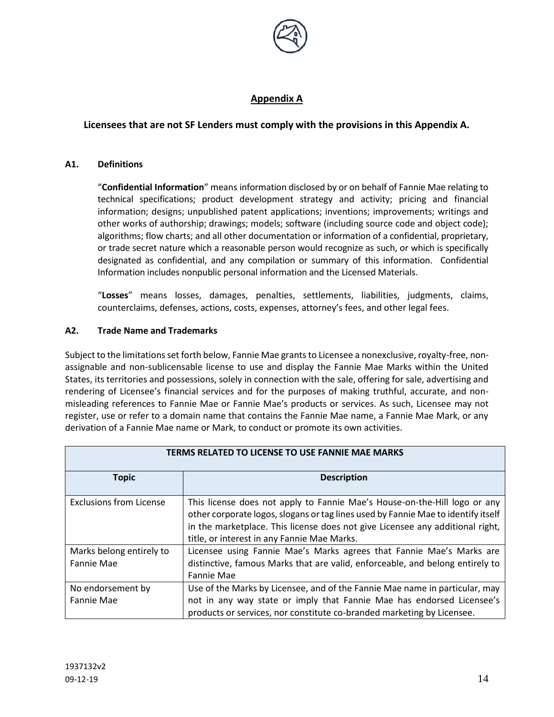

# **Appendix A**

# **Licensees that are not SF Lenders must comply with the provisions in this Appendix A.**

#### **A1. Definitions**

"**Confidential Information**" means information disclosed by or on behalf of Fannie Mae relating to technical specifications; product development strategy and activity; pricing and financial information; designs; unpublished patent applications; inventions; improvements; writings and other works of authorship; drawings; models; software (including source code and object code); algorithms; flow charts; and all other documentation or information of a confidential, proprietary, or trade secret nature which a reasonable person would recognize as such, or which is specifically designated as confidential, and any compilation or summary of this information. Confidential Information includes nonpublic personal information and the Licensed Materials.

"**Losses**" means losses, damages, penalties, settlements, liabilities, judgments, claims, counterclaims, defenses, actions, costs, expenses, attorney's fees, and other legal fees.

#### **A2. Trade Name and Trademarks**

Subject to the limitations set forth below, Fannie Mae grants to Licensee a nonexclusive, royalty-free, nonassignable and non-sublicensable license to use and display the Fannie Mae Marks within the United States, its territories and possessions, solely in connection with the sale, offering for sale, advertising and rendering of Licensee's financial services and for the purposes of making truthful, accurate, and nonmisleading references to Fannie Mae or Fannie Mae's products or services. As such, Licensee may not register, use or refer to a domain name that contains the Fannie Mae name, a Fannie Mae Mark, or any derivation of a Fannie Mae name or Mark, to conduct or promote its own activities.

| TERMS RELATED TO LICENSE TO USE FANNIE MAE MARKS |                                                                                                                                                                                                                                                                                                |  |
|--------------------------------------------------|------------------------------------------------------------------------------------------------------------------------------------------------------------------------------------------------------------------------------------------------------------------------------------------------|--|
| <b>Topic</b>                                     | <b>Description</b>                                                                                                                                                                                                                                                                             |  |
| <b>Exclusions from License</b>                   | This license does not apply to Fannie Mae's House-on-the-Hill logo or any<br>other corporate logos, slogans or tag lines used by Fannie Mae to identify itself<br>in the marketplace. This license does not give Licensee any additional right,<br>title, or interest in any Fannie Mae Marks. |  |
| Marks belong entirely to<br>Fannie Mae           | Licensee using Fannie Mae's Marks agrees that Fannie Mae's Marks are<br>distinctive, famous Marks that are valid, enforceable, and belong entirely to<br><b>Fannie Mae</b>                                                                                                                     |  |
| No endorsement by<br>Fannie Mae                  | Use of the Marks by Licensee, and of the Fannie Mae name in particular, may<br>not in any way state or imply that Fannie Mae has endorsed Licensee's<br>products or services, nor constitute co-branded marketing by Licensee.                                                                 |  |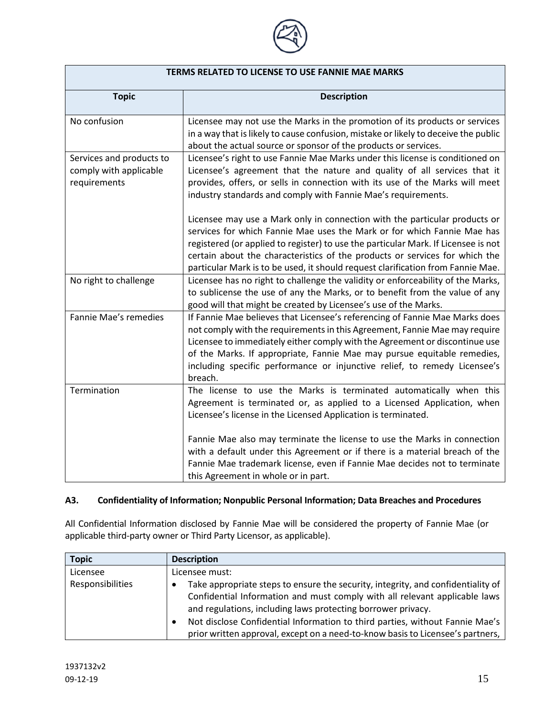

| TERMS RELATED TO LICENSE TO USE FANNIE MAE MARKS                   |                                                                                                                                                                                                                                                                                                                                                                                                                                                                                              |  |
|--------------------------------------------------------------------|----------------------------------------------------------------------------------------------------------------------------------------------------------------------------------------------------------------------------------------------------------------------------------------------------------------------------------------------------------------------------------------------------------------------------------------------------------------------------------------------|--|
| <b>Topic</b>                                                       | <b>Description</b>                                                                                                                                                                                                                                                                                                                                                                                                                                                                           |  |
| No confusion                                                       | Licensee may not use the Marks in the promotion of its products or services<br>in a way that is likely to cause confusion, mistake or likely to deceive the public<br>about the actual source or sponsor of the products or services.                                                                                                                                                                                                                                                        |  |
| Services and products to<br>comply with applicable<br>requirements | Licensee's right to use Fannie Mae Marks under this license is conditioned on<br>Licensee's agreement that the nature and quality of all services that it<br>provides, offers, or sells in connection with its use of the Marks will meet<br>industry standards and comply with Fannie Mae's requirements.                                                                                                                                                                                   |  |
|                                                                    | Licensee may use a Mark only in connection with the particular products or<br>services for which Fannie Mae uses the Mark or for which Fannie Mae has<br>registered (or applied to register) to use the particular Mark. If Licensee is not<br>certain about the characteristics of the products or services for which the<br>particular Mark is to be used, it should request clarification from Fannie Mae.                                                                                |  |
| No right to challenge                                              | Licensee has no right to challenge the validity or enforceability of the Marks,<br>to sublicense the use of any the Marks, or to benefit from the value of any<br>good will that might be created by Licensee's use of the Marks.                                                                                                                                                                                                                                                            |  |
| Fannie Mae's remedies                                              | If Fannie Mae believes that Licensee's referencing of Fannie Mae Marks does<br>not comply with the requirements in this Agreement, Fannie Mae may require<br>Licensee to immediately either comply with the Agreement or discontinue use<br>of the Marks. If appropriate, Fannie Mae may pursue equitable remedies,<br>including specific performance or injunctive relief, to remedy Licensee's<br>breach.                                                                                  |  |
| Termination                                                        | The license to use the Marks is terminated automatically when this<br>Agreement is terminated or, as applied to a Licensed Application, when<br>Licensee's license in the Licensed Application is terminated.<br>Fannie Mae also may terminate the license to use the Marks in connection<br>with a default under this Agreement or if there is a material breach of the<br>Fannie Mae trademark license, even if Fannie Mae decides not to terminate<br>this Agreement in whole or in part. |  |

# **A3. Confidentiality of Information; Nonpublic Personal Information; Data Breaches and Procedures**

All Confidential Information disclosed by Fannie Mae will be considered the property of Fannie Mae (or applicable third-party owner or Third Party Licensor, as applicable).

| <b>Topic</b>     | <b>Description</b>                                                                                                                                                                                                                                                                                                                                                                               |
|------------------|--------------------------------------------------------------------------------------------------------------------------------------------------------------------------------------------------------------------------------------------------------------------------------------------------------------------------------------------------------------------------------------------------|
| Licensee         | Licensee must:                                                                                                                                                                                                                                                                                                                                                                                   |
| Responsibilities | Take appropriate steps to ensure the security, integrity, and confidentiality of<br>Confidential Information and must comply with all relevant applicable laws<br>and regulations, including laws protecting borrower privacy.<br>Not disclose Confidential Information to third parties, without Fannie Mae's<br>prior written approval, except on a need-to-know basis to Licensee's partners, |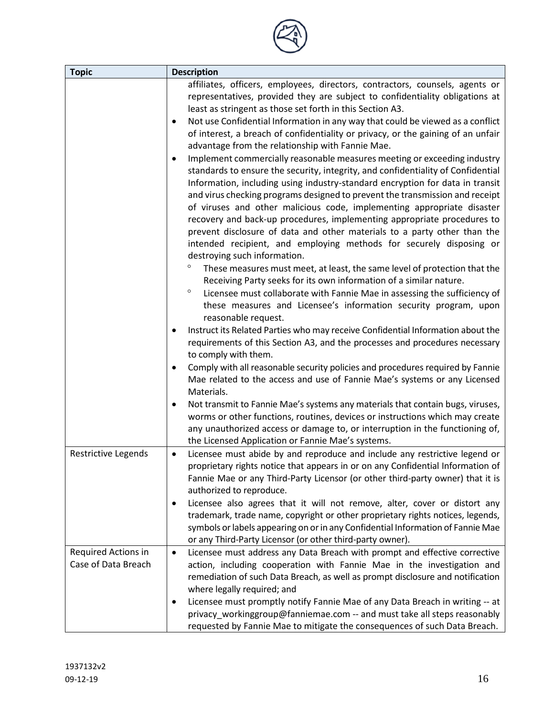| <b>Topic</b>                               | <b>Description</b>                                                                                                                                                                                                                                                                                                                                                                                                                                                                                                                                                                                                                                                                                                                                                                                                                                                                                                                                                                                                                                                                                                                                                                                                                                                                                                                                                                                                                                                                                                                                                                                                                                                                                                                                                                                                                                                                                                                                                                                                                                                                                                                                               |
|--------------------------------------------|------------------------------------------------------------------------------------------------------------------------------------------------------------------------------------------------------------------------------------------------------------------------------------------------------------------------------------------------------------------------------------------------------------------------------------------------------------------------------------------------------------------------------------------------------------------------------------------------------------------------------------------------------------------------------------------------------------------------------------------------------------------------------------------------------------------------------------------------------------------------------------------------------------------------------------------------------------------------------------------------------------------------------------------------------------------------------------------------------------------------------------------------------------------------------------------------------------------------------------------------------------------------------------------------------------------------------------------------------------------------------------------------------------------------------------------------------------------------------------------------------------------------------------------------------------------------------------------------------------------------------------------------------------------------------------------------------------------------------------------------------------------------------------------------------------------------------------------------------------------------------------------------------------------------------------------------------------------------------------------------------------------------------------------------------------------------------------------------------------------------------------------------------------------|
|                                            | affiliates, officers, employees, directors, contractors, counsels, agents or<br>representatives, provided they are subject to confidentiality obligations at<br>least as stringent as those set forth in this Section A3.<br>Not use Confidential Information in any way that could be viewed as a conflict<br>of interest, a breach of confidentiality or privacy, or the gaining of an unfair<br>advantage from the relationship with Fannie Mae.<br>Implement commercially reasonable measures meeting or exceeding industry<br>standards to ensure the security, integrity, and confidentiality of Confidential<br>Information, including using industry-standard encryption for data in transit<br>and virus checking programs designed to prevent the transmission and receipt<br>of viruses and other malicious code, implementing appropriate disaster<br>recovery and back-up procedures, implementing appropriate procedures to<br>prevent disclosure of data and other materials to a party other than the<br>intended recipient, and employing methods for securely disposing or<br>destroying such information.<br>$\circ$<br>These measures must meet, at least, the same level of protection that the<br>Receiving Party seeks for its own information of a similar nature.<br>$\circ$<br>Licensee must collaborate with Fannie Mae in assessing the sufficiency of<br>these measures and Licensee's information security program, upon<br>reasonable request.<br>Instruct its Related Parties who may receive Confidential Information about the<br>requirements of this Section A3, and the processes and procedures necessary<br>to comply with them.<br>Comply with all reasonable security policies and procedures required by Fannie<br>Mae related to the access and use of Fannie Mae's systems or any Licensed<br>Materials.<br>Not transmit to Fannie Mae's systems any materials that contain bugs, viruses,<br>٠<br>worms or other functions, routines, devices or instructions which may create<br>any unauthorized access or damage to, or interruption in the functioning of,<br>the Licensed Application or Fannie Mae's systems. |
| Restrictive Legends                        | Licensee must abide by and reproduce and include any restrictive legend or<br>$\bullet$<br>proprietary rights notice that appears in or on any Confidential Information of<br>Fannie Mae or any Third-Party Licensor (or other third-party owner) that it is<br>authorized to reproduce.<br>Licensee also agrees that it will not remove, alter, cover or distort any<br>trademark, trade name, copyright or other proprietary rights notices, legends,<br>symbols or labels appearing on or in any Confidential Information of Fannie Mae<br>or any Third-Party Licensor (or other third-party owner).                                                                                                                                                                                                                                                                                                                                                                                                                                                                                                                                                                                                                                                                                                                                                                                                                                                                                                                                                                                                                                                                                                                                                                                                                                                                                                                                                                                                                                                                                                                                                          |
| Required Actions in<br>Case of Data Breach | Licensee must address any Data Breach with prompt and effective corrective<br>$\bullet$<br>action, including cooperation with Fannie Mae in the investigation and<br>remediation of such Data Breach, as well as prompt disclosure and notification<br>where legally required; and<br>Licensee must promptly notify Fannie Mae of any Data Breach in writing -- at<br>$\bullet$<br>privacy_workinggroup@fanniemae.com -- and must take all steps reasonably<br>requested by Fannie Mae to mitigate the consequences of such Data Breach.                                                                                                                                                                                                                                                                                                                                                                                                                                                                                                                                                                                                                                                                                                                                                                                                                                                                                                                                                                                                                                                                                                                                                                                                                                                                                                                                                                                                                                                                                                                                                                                                                         |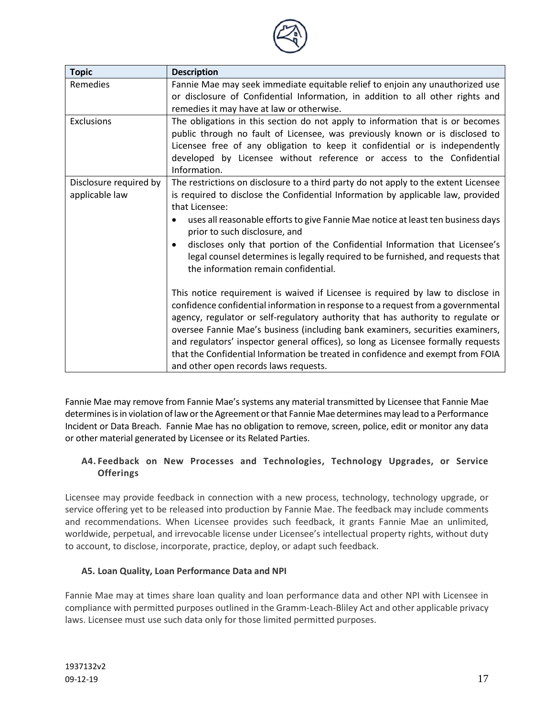

| <b>Topic</b>                             | <b>Description</b>                                                                                                                                                                                                                                                                                                                                                                                                                                                                                                                                         |
|------------------------------------------|------------------------------------------------------------------------------------------------------------------------------------------------------------------------------------------------------------------------------------------------------------------------------------------------------------------------------------------------------------------------------------------------------------------------------------------------------------------------------------------------------------------------------------------------------------|
| Remedies                                 | Fannie Mae may seek immediate equitable relief to enjoin any unauthorized use<br>or disclosure of Confidential Information, in addition to all other rights and<br>remedies it may have at law or otherwise.                                                                                                                                                                                                                                                                                                                                               |
| Exclusions                               | The obligations in this section do not apply to information that is or becomes<br>public through no fault of Licensee, was previously known or is disclosed to<br>Licensee free of any obligation to keep it confidential or is independently<br>developed by Licensee without reference or access to the Confidential<br>Information.                                                                                                                                                                                                                     |
| Disclosure required by<br>applicable law | The restrictions on disclosure to a third party do not apply to the extent Licensee<br>is required to disclose the Confidential Information by applicable law, provided<br>that Licensee:<br>uses all reasonable efforts to give Fannie Mae notice at least ten business days<br>prior to such disclosure, and<br>discloses only that portion of the Confidential Information that Licensee's<br>$\bullet$<br>legal counsel determines is legally required to be furnished, and requests that<br>the information remain confidential.                      |
|                                          | This notice requirement is waived if Licensee is required by law to disclose in<br>confidence confidential information in response to a request from a governmental<br>agency, regulator or self-regulatory authority that has authority to regulate or<br>oversee Fannie Mae's business (including bank examiners, securities examiners,<br>and regulators' inspector general offices), so long as Licensee formally requests<br>that the Confidential Information be treated in confidence and exempt from FOIA<br>and other open records laws requests. |

Fannie Mae may remove from Fannie Mae's systems any material transmitted by Licensee that Fannie Mae determines is in violation of law or the Agreement or that Fannie Mae determines may lead to a Performance Incident or Data Breach. Fannie Mae has no obligation to remove, screen, police, edit or monitor any data or other material generated by Licensee or its Related Parties.

## **A4. Feedback on New Processes and Technologies, Technology Upgrades, or Service Offerings**

Licensee may provide feedback in connection with a new process, technology, technology upgrade, or service offering yet to be released into production by Fannie Mae. The feedback may include comments and recommendations. When Licensee provides such feedback, it grants Fannie Mae an unlimited, worldwide, perpetual, and irrevocable license under Licensee's intellectual property rights, without duty to account, to disclose, incorporate, practice, deploy, or adapt such feedback.

## **A5. Loan Quality, Loan Performance Data and NPI**

Fannie Mae may at times share loan quality and loan performance data and other NPI with Licensee in compliance with permitted purposes outlined in the Gramm-Leach-Bliley Act and other applicable privacy laws. Licensee must use such data only for those limited permitted purposes.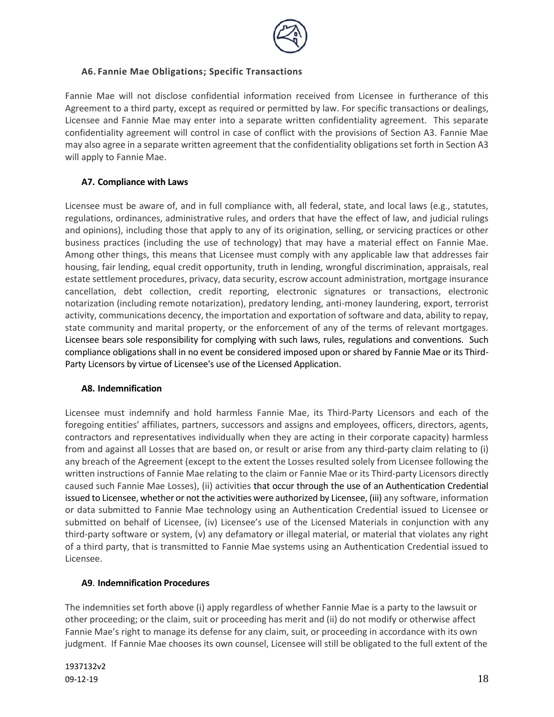

## **A6. Fannie Mae Obligations; Specific Transactions**

Fannie Mae will not disclose confidential information received from Licensee in furtherance of this Agreement to a third party, except as required or permitted by law. For specific transactions or dealings, Licensee and Fannie Mae may enter into a separate written confidentiality agreement. This separate confidentiality agreement will control in case of conflict with the provisions of Section A3. Fannie Mae may also agree in a separate written agreement that the confidentiality obligations set forth in Section A3 will apply to Fannie Mae.

## **A7. Compliance with Laws**

Licensee must be aware of, and in full compliance with, all federal, state, and local laws (e.g., statutes, regulations, ordinances, administrative rules, and orders that have the effect of law, and judicial rulings and opinions), including those that apply to any of its origination, selling, or servicing practices or other business practices (including the use of technology) that may have a material effect on Fannie Mae. Among other things, this means that Licensee must comply with any applicable law that addresses fair housing, fair lending, equal credit opportunity, truth in lending, wrongful discrimination, appraisals, real estate settlement procedures, privacy, data security, escrow account administration, mortgage insurance cancellation, debt collection, credit reporting, electronic signatures or transactions, electronic notarization (including remote notarization), predatory lending, anti-money laundering, export, terrorist activity, communications decency, the importation and exportation of software and data, ability to repay, state community and marital property, or the enforcement of any of the terms of relevant mortgages. Licensee bears sole responsibility for complying with such laws, rules, regulations and conventions. Such compliance obligations shall in no event be considered imposed upon or shared by Fannie Mae or its Third-Party Licensors by virtue of Licensee's use of the Licensed Application.

### **A8. Indemnification**

Licensee must indemnify and hold harmless Fannie Mae, its Third-Party Licensors and each of the foregoing entities' affiliates, partners, successors and assigns and employees, officers, directors, agents, contractors and representatives individually when they are acting in their corporate capacity) harmless from and against all Losses that are based on, or result or arise from any third-party claim relating to (i) any breach of the Agreement (except to the extent the Losses resulted solely from Licensee following the written instructions of Fannie Mae relating to the claim or Fannie Mae or its Third-party Licensors directly caused such Fannie Mae Losses), (ii) activities that occur through the use of an Authentication Credential issued to Licensee, whether or not the activities were authorized by Licensee, (iii) any software, information or data submitted to Fannie Mae technology using an Authentication Credential issued to Licensee or submitted on behalf of Licensee, (iv) Licensee's use of the Licensed Materials in conjunction with any third-party software or system, (v) any defamatory or illegal material, or material that violates any right of a third party, that is transmitted to Fannie Mae systems using an Authentication Credential issued to Licensee.

#### **A9**. **Indemnification Procedures**

The indemnities set forth above (i) apply regardless of whether Fannie Mae is a party to the lawsuit or other proceeding; or the claim, suit or proceeding has merit and (ii) do not modify or otherwise affect Fannie Mae's right to manage its defense for any claim, suit, or proceeding in accordance with its own judgment. If Fannie Mae chooses its own counsel, Licensee will still be obligated to the full extent of the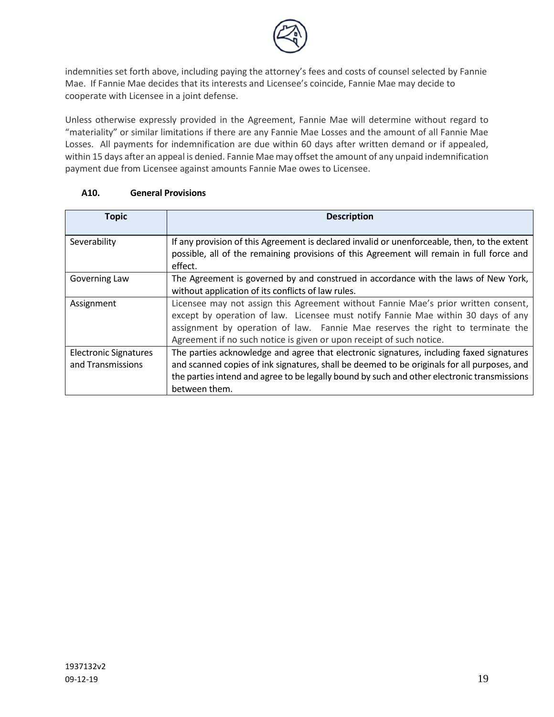

indemnities set forth above, including paying the attorney's fees and costs of counsel selected by Fannie Mae. If Fannie Mae decides that its interests and Licensee's coincide, Fannie Mae may decide to cooperate with Licensee in a joint defense.

Unless otherwise expressly provided in the Agreement, Fannie Mae will determine without regard to "materiality" or similar limitations if there are any Fannie Mae Losses and the amount of all Fannie Mae Losses. All payments for indemnification are due within 60 days after written demand or if appealed, within 15 days after an appeal is denied. Fannie Mae may offset the amount of any unpaid indemnification payment due from Licensee against amounts Fannie Mae owes to Licensee.

| <b>Topic</b>                                      | <b>Description</b>                                                                                                                                                                                                                                                                                                                |
|---------------------------------------------------|-----------------------------------------------------------------------------------------------------------------------------------------------------------------------------------------------------------------------------------------------------------------------------------------------------------------------------------|
| Severability                                      | If any provision of this Agreement is declared invalid or unenforceable, then, to the extent<br>possible, all of the remaining provisions of this Agreement will remain in full force and<br>effect.                                                                                                                              |
| Governing Law                                     | The Agreement is governed by and construed in accordance with the laws of New York,<br>without application of its conflicts of law rules.                                                                                                                                                                                         |
| Assignment                                        | Licensee may not assign this Agreement without Fannie Mae's prior written consent,<br>except by operation of law. Licensee must notify Fannie Mae within 30 days of any<br>assignment by operation of law. Fannie Mae reserves the right to terminate the<br>Agreement if no such notice is given or upon receipt of such notice. |
| <b>Electronic Signatures</b><br>and Transmissions | The parties acknowledge and agree that electronic signatures, including faxed signatures<br>and scanned copies of ink signatures, shall be deemed to be originals for all purposes, and<br>the parties intend and agree to be legally bound by such and other electronic transmissions<br>between them.                           |

## **A10. General Provisions**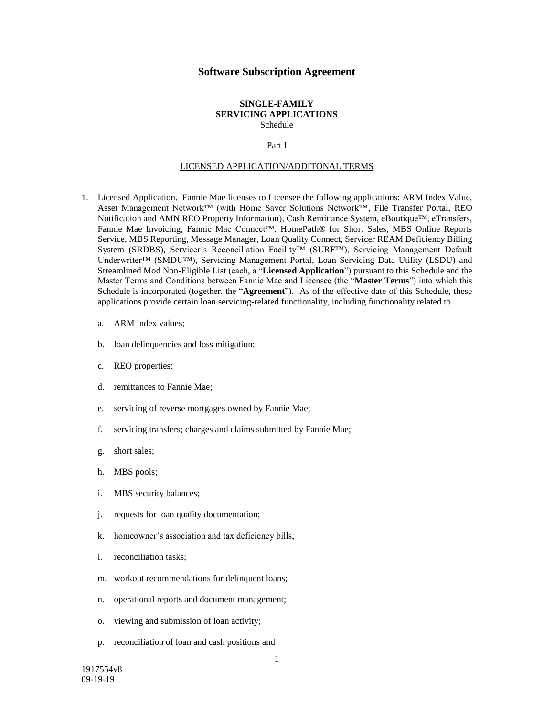#### **Software Subscription Agreement**

#### **SINGLE-FAMILY SERVICING APPLICATIONS** Schedule

#### Part I

#### LICENSED APPLICATION/ADDITONAL TERMS

- 1. Licensed Application. Fannie Mae licenses to Licensee the following applications: ARM Index Value, Asset Management Network™ (with Home Saver Solutions Network™, File Transfer Portal, REO Notification and AMN REO Property Information), Cash Remittance System, eBoutique™, eTransfers, Fannie Mae Invoicing, Fannie Mae Connect™, HomePath® for Short Sales, MBS Online Reports Service, MBS Reporting, Message Manager, Loan Quality Connect, Servicer REAM Deficiency Billing System (SRDBS), Servicer's Reconciliation Facility™ (SURF™), Servicing Management Default Underwriter™ (SMDU™), Servicing Management Portal, Loan Servicing Data Utility (LSDU) and Streamlined Mod Non-Eligible List (each, a "**Licensed Application**") pursuant to this Schedule and the Master Terms and Conditions between Fannie Mae and Licensee (the "**Master Terms**") into which this Schedule is incorporated (together, the "**Agreement**"). As of the effective date of this Schedule, these applications provide certain loan servicing-related functionality, including functionality related to
	- a. ARM index values;
	- b. loan delinquencies and loss mitigation;
	- c. REO properties;
	- d. remittances to Fannie Mae;
	- e. servicing of reverse mortgages owned by Fannie Mae;
	- f. servicing transfers; charges and claims submitted by Fannie Mae;
	- g. short sales;
	- h. MBS pools;
	- i. MBS security balances;
	- j. requests for loan quality documentation;
	- k. homeowner's association and tax deficiency bills;
	- l. reconciliation tasks;
	- m. workout recommendations for delinquent loans;
	- n. operational reports and document management;
	- o. viewing and submission of loan activity;
	- p. reconciliation of loan and cash positions and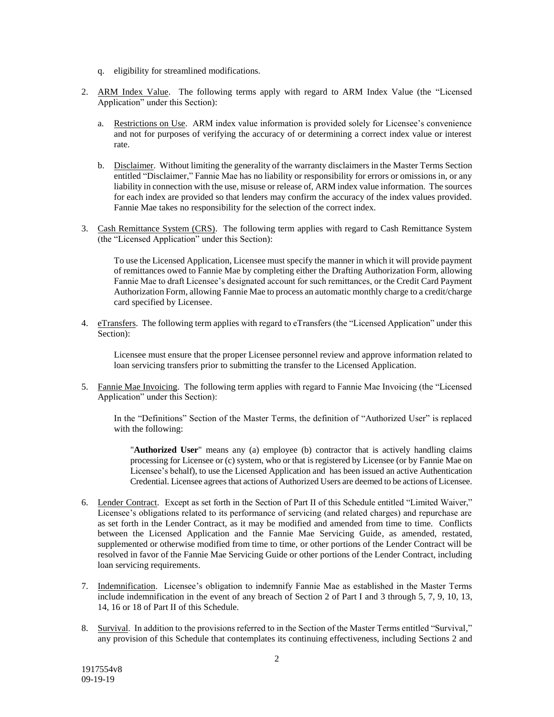- q. eligibility for streamlined modifications.
- 2. ARM Index Value. The following terms apply with regard to ARM Index Value (the "Licensed Application" under this Section):
	- a. Restrictions on Use. ARM index value information is provided solely for Licensee's convenience and not for purposes of verifying the accuracy of or determining a correct index value or interest rate.
	- b. Disclaimer. Without limiting the generality of the warranty disclaimers in the Master Terms Section entitled "Disclaimer," Fannie Mae has no liability or responsibility for errors or omissions in, or any liability in connection with the use, misuse or release of, ARM index value information. The sources for each index are provided so that lenders may confirm the accuracy of the index values provided. Fannie Mae takes no responsibility for the selection of the correct index.
- 3. Cash Remittance System (CRS). The following term applies with regard to Cash Remittance System (the "Licensed Application" under this Section):

To use the Licensed Application, Licensee must specify the manner in which it will provide payment of remittances owed to Fannie Mae by completing either the Drafting Authorization Form, allowing Fannie Mae to draft Licensee's designated account for such remittances, or the Credit Card Payment Authorization Form, allowing Fannie Mae to process an automatic monthly charge to a credit/charge card specified by Licensee.

4. eTransfers. The following term applies with regard to eTransfers (the "Licensed Application" under this Section):

Licensee must ensure that the proper Licensee personnel review and approve information related to loan servicing transfers prior to submitting the transfer to the Licensed Application.

5. Fannie Mae Invoicing. The following term applies with regard to Fannie Mae Invoicing (the "Licensed Application" under this Section):

In the "Definitions" Section of the Master Terms, the definition of "Authorized User" is replaced with the following:

"**Authorized User**" means any (a) employee (b) contractor that is actively handling claims processing for Licensee or (c) system, who or that is registered by Licensee (or by Fannie Mae on Licensee's behalf), to use the Licensed Application and has been issued an active Authentication Credential. Licensee agrees that actions of Authorized Users are deemed to be actions of Licensee.

- 6. Lender Contract. Except as set forth in the Section of Part II of this Schedule entitled "Limited Waiver," Licensee's obligations related to its performance of servicing (and related charges) and repurchase are as set forth in the Lender Contract, as it may be modified and amended from time to time. Conflicts between the Licensed Application and the Fannie Mae Servicing Guide, as amended, restated, supplemented or otherwise modified from time to time, or other portions of the Lender Contract will be resolved in favor of the Fannie Mae Servicing Guide or other portions of the Lender Contract, including loan servicing requirements.
- 7. Indemnification. Licensee's obligation to indemnify Fannie Mae as established in the Master Terms include indemnification in the event of any breach of Section 2 of Part I and 3 through 5, 7, 9, 10, 13, 14, 16 or 18 of Part II of this Schedule.
- 8. Survival. In addition to the provisions referred to in the Section of the Master Terms entitled "Survival," any provision of this Schedule that contemplates its continuing effectiveness, including Sections 2 and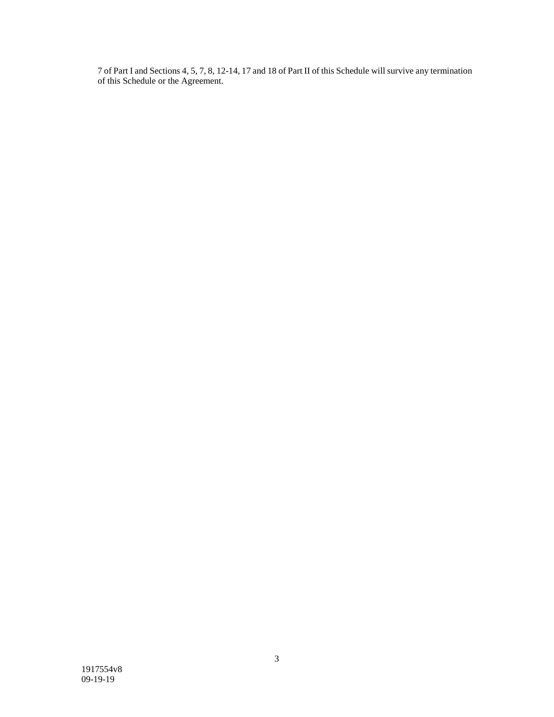7 of Part I and Sections 4, 5, 7, 8, 12-14, 17 and 18 of Part II of this Schedule will survive any termination of this Schedule or the Agreement.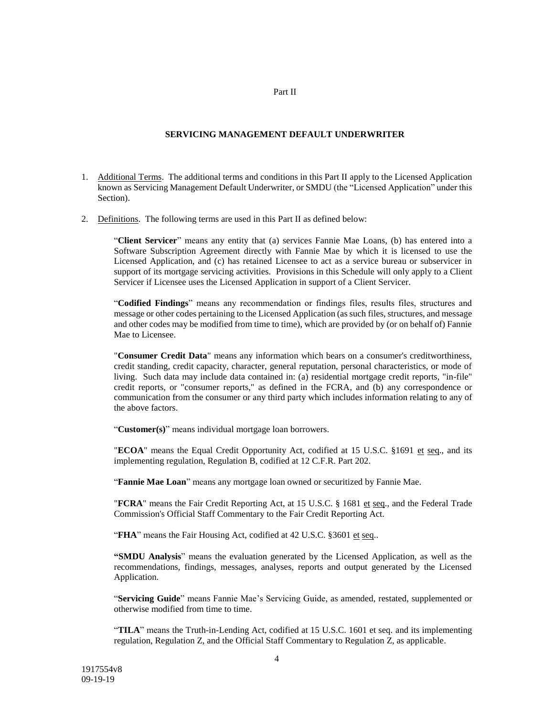#### Part II

#### **SERVICING MANAGEMENT DEFAULT UNDERWRITER**

- 1. Additional Terms. The additional terms and conditions in this Part II apply to the Licensed Application known as Servicing Management Default Underwriter, or SMDU (the "Licensed Application" under this Section).
- 2. Definitions. The following terms are used in this Part II as defined below:

"**Client Servicer**" means any entity that (a) services Fannie Mae Loans, (b) has entered into a Software Subscription Agreement directly with Fannie Mae by which it is licensed to use the Licensed Application, and (c) has retained Licensee to act as a service bureau or subservicer in support of its mortgage servicing activities. Provisions in this Schedule will only apply to a Client Servicer if Licensee uses the Licensed Application in support of a Client Servicer.

"**Codified Findings**" means any recommendation or findings files, results files, structures and message or other codes pertaining to the Licensed Application (as such files, structures, and message and other codes may be modified from time to time), which are provided by (or on behalf of) Fannie Mae to Licensee.

"**Consumer Credit Data**" means any information which bears on a consumer's creditworthiness, credit standing, credit capacity, character, general reputation, personal characteristics, or mode of living. Such data may include data contained in: (a) residential mortgage credit reports, "in-file" credit reports, or "consumer reports," as defined in the FCRA, and (b) any correspondence or communication from the consumer or any third party which includes information relating to any of the above factors.

"**Customer(s)**" means individual mortgage loan borrowers.

"**ECOA**" means the Equal Credit Opportunity Act, codified at 15 U.S.C. §1691 et seq., and its implementing regulation, Regulation B, codified at 12 C.F.R. Part 202.

"**Fannie Mae Loan**" means any mortgage loan owned or securitized by Fannie Mae.

"**FCRA**" means the Fair Credit Reporting Act, at 15 U.S.C. § 1681 et seq., and the Federal Trade Commission's Official Staff Commentary to the Fair Credit Reporting Act.

"**FHA**" means the Fair Housing Act, codified at 42 U.S.C. §3601 et seq..

**"SMDU Analysis**" means the evaluation generated by the Licensed Application, as well as the recommendations, findings, messages, analyses, reports and output generated by the Licensed Application.

"**Servicing Guide**" means Fannie Mae's Servicing Guide, as amended, restated, supplemented or otherwise modified from time to time.

"**TILA**" means the Truth-in-Lending Act, codified at 15 U.S.C. 1601 et seq. and its implementing regulation, Regulation Z, and the Official Staff Commentary to Regulation Z, as applicable.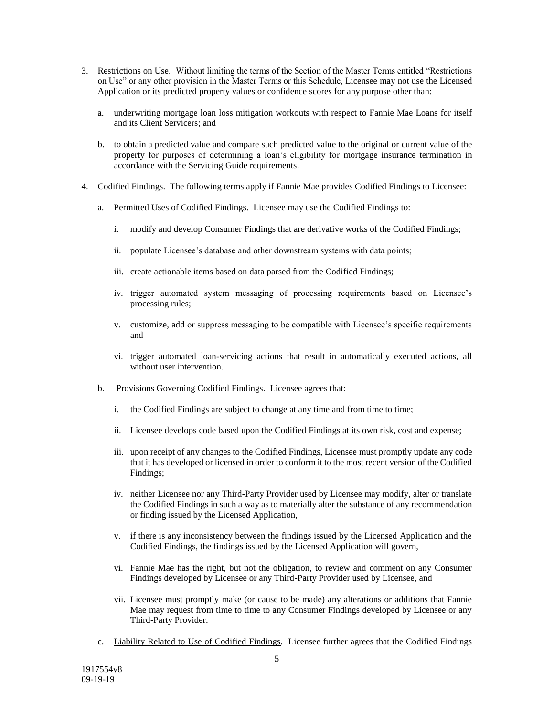- 3. Restrictions on Use. Without limiting the terms of the Section of the Master Terms entitled "Restrictions on Use" or any other provision in the Master Terms or this Schedule, Licensee may not use the Licensed Application or its predicted property values or confidence scores for any purpose other than:
	- a. underwriting mortgage loan loss mitigation workouts with respect to Fannie Mae Loans for itself and its Client Servicers; and
	- b. to obtain a predicted value and compare such predicted value to the original or current value of the property for purposes of determining a loan's eligibility for mortgage insurance termination in accordance with the Servicing Guide requirements.
- 4. Codified Findings. The following terms apply if Fannie Mae provides Codified Findings to Licensee:
	- a. Permitted Uses of Codified Findings. Licensee may use the Codified Findings to:
		- i. modify and develop Consumer Findings that are derivative works of the Codified Findings;
		- ii. populate Licensee's database and other downstream systems with data points;
		- iii. create actionable items based on data parsed from the Codified Findings;
		- iv. trigger automated system messaging of processing requirements based on Licensee's processing rules;
		- v. customize, add or suppress messaging to be compatible with Licensee's specific requirements and
		- vi. trigger automated loan-servicing actions that result in automatically executed actions, all without user intervention.
	- b. Provisions Governing Codified Findings. Licensee agrees that:
		- i. the Codified Findings are subject to change at any time and from time to time;
		- ii. Licensee develops code based upon the Codified Findings at its own risk, cost and expense;
		- iii. upon receipt of any changes to the Codified Findings, Licensee must promptly update any code that it has developed or licensed in order to conform it to the most recent version of the Codified Findings;
		- iv. neither Licensee nor any Third-Party Provider used by Licensee may modify, alter or translate the Codified Findings in such a way as to materially alter the substance of any recommendation or finding issued by the Licensed Application,
		- v. if there is any inconsistency between the findings issued by the Licensed Application and the Codified Findings, the findings issued by the Licensed Application will govern,
		- vi. Fannie Mae has the right, but not the obligation, to review and comment on any Consumer Findings developed by Licensee or any Third-Party Provider used by Licensee, and
		- vii. Licensee must promptly make (or cause to be made) any alterations or additions that Fannie Mae may request from time to time to any Consumer Findings developed by Licensee or any Third-Party Provider.
	- c. Liability Related to Use of Codified Findings. Licensee further agrees that the Codified Findings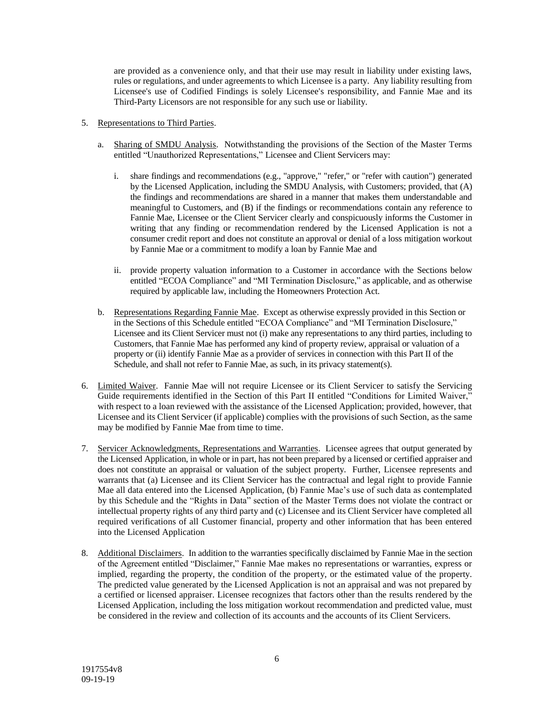are provided as a convenience only, and that their use may result in liability under existing laws, rules or regulations, and under agreements to which Licensee is a party. Any liability resulting from Licensee's use of Codified Findings is solely Licensee's responsibility, and Fannie Mae and its Third-Party Licensors are not responsible for any such use or liability.

- 5. Representations to Third Parties.
	- a. Sharing of SMDU Analysis. Notwithstanding the provisions of the Section of the Master Terms entitled "Unauthorized Representations," Licensee and Client Servicers may:
		- i. share findings and recommendations (e.g., "approve," "refer," or "refer with caution") generated by the Licensed Application, including the SMDU Analysis, with Customers; provided, that (A) the findings and recommendations are shared in a manner that makes them understandable and meaningful to Customers, and (B) if the findings or recommendations contain any reference to Fannie Mae, Licensee or the Client Servicer clearly and conspicuously informs the Customer in writing that any finding or recommendation rendered by the Licensed Application is not a consumer credit report and does not constitute an approval or denial of a loss mitigation workout by Fannie Mae or a commitment to modify a loan by Fannie Mae and
		- ii. provide property valuation information to a Customer in accordance with the Sections below entitled "ECOA Compliance" and "MI Termination Disclosure," as applicable, and as otherwise required by applicable law, including the Homeowners Protection Act.
	- b. Representations Regarding Fannie Mae. Except as otherwise expressly provided in this Section or in the Sections of this Schedule entitled "ECOA Compliance" and "MI Termination Disclosure," Licensee and its Client Servicer must not (i) make any representations to any third parties, including to Customers, that Fannie Mae has performed any kind of property review, appraisal or valuation of a property or (ii) identify Fannie Mae as a provider of services in connection with this Part II of the Schedule, and shall not refer to Fannie Mae, as such, in its privacy statement(s).
- 6. Limited Waiver. Fannie Mae will not require Licensee or its Client Servicer to satisfy the Servicing Guide requirements identified in the Section of this Part II entitled "Conditions for Limited Waiver," with respect to a loan reviewed with the assistance of the Licensed Application; provided, however, that Licensee and its Client Servicer (if applicable) complies with the provisions of such Section, as the same may be modified by Fannie Mae from time to time.
- 7. Servicer Acknowledgments, Representations and Warranties. Licensee agrees that output generated by the Licensed Application, in whole or in part, has not been prepared by a licensed or certified appraiser and does not constitute an appraisal or valuation of the subject property. Further, Licensee represents and warrants that (a) Licensee and its Client Servicer has the contractual and legal right to provide Fannie Mae all data entered into the Licensed Application, (b) Fannie Mae's use of such data as contemplated by this Schedule and the "Rights in Data" section of the Master Terms does not violate the contract or intellectual property rights of any third party and (c) Licensee and its Client Servicer have completed all required verifications of all Customer financial, property and other information that has been entered into the Licensed Application
- 8. Additional Disclaimers. In addition to the warranties specifically disclaimed by Fannie Mae in the section of the Agreement entitled "Disclaimer," Fannie Mae makes no representations or warranties, express or implied, regarding the property, the condition of the property, or the estimated value of the property. The predicted value generated by the Licensed Application is not an appraisal and was not prepared by a certified or licensed appraiser. Licensee recognizes that factors other than the results rendered by the Licensed Application, including the loss mitigation workout recommendation and predicted value, must be considered in the review and collection of its accounts and the accounts of its Client Servicers.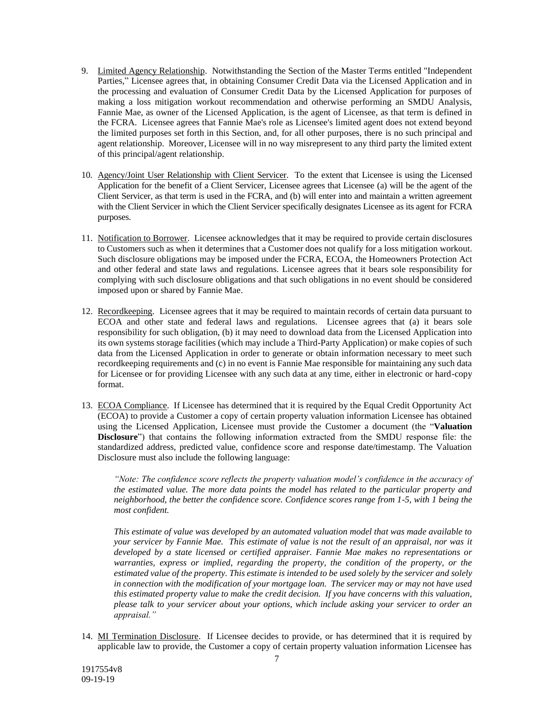- 9. Limited Agency Relationship. Notwithstanding the Section of the Master Terms entitled "Independent Parties," Licensee agrees that, in obtaining Consumer Credit Data via the Licensed Application and in the processing and evaluation of Consumer Credit Data by the Licensed Application for purposes of making a loss mitigation workout recommendation and otherwise performing an SMDU Analysis, Fannie Mae, as owner of the Licensed Application, is the agent of Licensee, as that term is defined in the FCRA. Licensee agrees that Fannie Mae's role as Licensee's limited agent does not extend beyond the limited purposes set forth in this Section, and, for all other purposes, there is no such principal and agent relationship. Moreover, Licensee will in no way misrepresent to any third party the limited extent of this principal/agent relationship.
- 10. Agency/Joint User Relationship with Client Servicer. To the extent that Licensee is using the Licensed Application for the benefit of a Client Servicer, Licensee agrees that Licensee (a) will be the agent of the Client Servicer, as that term is used in the FCRA, and (b) will enter into and maintain a written agreement with the Client Servicer in which the Client Servicer specifically designates Licensee as its agent for FCRA purposes.
- 11. Notification to Borrower. Licensee acknowledges that it may be required to provide certain disclosures to Customers such as when it determines that a Customer does not qualify for a loss mitigation workout. Such disclosure obligations may be imposed under the FCRA, ECOA, the Homeowners Protection Act and other federal and state laws and regulations. Licensee agrees that it bears sole responsibility for complying with such disclosure obligations and that such obligations in no event should be considered imposed upon or shared by Fannie Mae.
- 12. Recordkeeping. Licensee agrees that it may be required to maintain records of certain data pursuant to ECOA and other state and federal laws and regulations. Licensee agrees that (a) it bears sole responsibility for such obligation, (b) it may need to download data from the Licensed Application into its own systems storage facilities (which may include a Third-Party Application) or make copies of such data from the Licensed Application in order to generate or obtain information necessary to meet such recordkeeping requirements and (c) in no event is Fannie Mae responsible for maintaining any such data for Licensee or for providing Licensee with any such data at any time, either in electronic or hard-copy format.
- 13. ECOA Compliance. If Licensee has determined that it is required by the Equal Credit Opportunity Act (ECOA) to provide a Customer a copy of certain property valuation information Licensee has obtained using the Licensed Application, Licensee must provide the Customer a document (the "**Valuation Disclosure**") that contains the following information extracted from the SMDU response file: the standardized address, predicted value, confidence score and response date/timestamp. The Valuation Disclosure must also include the following language:

*"Note: The confidence score reflects the property valuation model's confidence in the accuracy of the estimated value. The more data points the model has related to the particular property and neighborhood, the better the confidence score. Confidence scores range from 1-5, with 1 being the most confident.*

*This estimate of value was developed by an automated valuation model that was made available to your servicer by Fannie Mae. This estimate of value is not the result of an appraisal, nor was it developed by a state licensed or certified appraiser. Fannie Mae makes no representations or warranties, express or implied, regarding the property, the condition of the property, or the estimated value of the property. This estimate is intended to be used solely by the servicer and solely in connection with the modification of your mortgage loan. The servicer may or may not have used this estimated property value to make the credit decision. If you have concerns with this valuation, please talk to your servicer about your options, which include asking your servicer to order an appraisal."*

14. MI Termination Disclosure. If Licensee decides to provide, or has determined that it is required by applicable law to provide, the Customer a copy of certain property valuation information Licensee has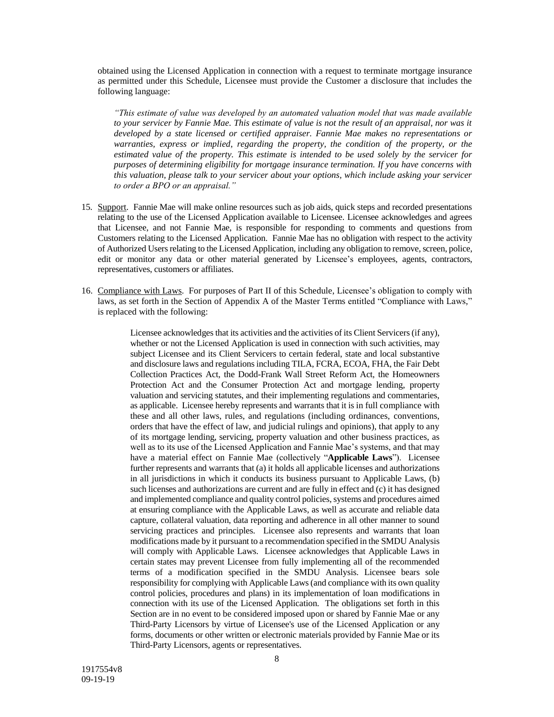obtained using the Licensed Application in connection with a request to terminate mortgage insurance as permitted under this Schedule, Licensee must provide the Customer a disclosure that includes the following language:

*"This estimate of value was developed by an automated valuation model that was made available to your servicer by Fannie Mae. This estimate of value is not the result of an appraisal, nor was it developed by a state licensed or certified appraiser. Fannie Mae makes no representations or warranties, express or implied, regarding the property, the condition of the property, or the estimated value of the property. This estimate is intended to be used solely by the servicer for purposes of determining eligibility for mortgage insurance termination. If you have concerns with this valuation, please talk to your servicer about your options, which include asking your servicer to order a BPO or an appraisal."*

- 15. Support. Fannie Mae will make online resources such as job aids, quick steps and recorded presentations relating to the use of the Licensed Application available to Licensee. Licensee acknowledges and agrees that Licensee, and not Fannie Mae, is responsible for responding to comments and questions from Customers relating to the Licensed Application. Fannie Mae has no obligation with respect to the activity of Authorized Users relating to the Licensed Application, including any obligation to remove, screen, police, edit or monitor any data or other material generated by Licensee's employees, agents, contractors, representatives, customers or affiliates.
- 16. Compliance with Laws. For purposes of Part II of this Schedule, Licensee's obligation to comply with laws, as set forth in the Section of Appendix A of the Master Terms entitled "Compliance with Laws," is replaced with the following:

Licensee acknowledges that its activities and the activities of its Client Servicers (if any), whether or not the Licensed Application is used in connection with such activities, may subject Licensee and its Client Servicers to certain federal, state and local substantive and disclosure laws and regulations including TILA, FCRA, ECOA, FHA, the Fair Debt Collection Practices Act, the Dodd-Frank Wall Street Reform Act, the Homeowners Protection Act and the Consumer Protection Act and mortgage lending, property valuation and servicing statutes, and their implementing regulations and commentaries, as applicable. Licensee hereby represents and warrants that it is in full compliance with these and all other laws, rules, and regulations (including ordinances, conventions, orders that have the effect of law, and judicial rulings and opinions), that apply to any of its mortgage lending, servicing, property valuation and other business practices, as well as to its use of the Licensed Application and Fannie Mae's systems, and that may have a material effect on Fannie Mae (collectively "**Applicable Laws**"). Licensee further represents and warrants that (a) it holds all applicable licenses and authorizations in all jurisdictions in which it conducts its business pursuant to Applicable Laws, (b) such licenses and authorizations are current and are fully in effect and (c) it has designed and implemented compliance and quality control policies, systems and procedures aimed at ensuring compliance with the Applicable Laws, as well as accurate and reliable data capture, collateral valuation, data reporting and adherence in all other manner to sound servicing practices and principles. Licensee also represents and warrants that loan modifications made by it pursuant to a recommendation specified in the SMDU Analysis will comply with Applicable Laws. Licensee acknowledges that Applicable Laws in certain states may prevent Licensee from fully implementing all of the recommended terms of a modification specified in the SMDU Analysis. Licensee bears sole responsibility for complying with Applicable Laws (and compliance with its own quality control policies, procedures and plans) in its implementation of loan modifications in connection with its use of the Licensed Application. The obligations set forth in this Section are in no event to be considered imposed upon or shared by Fannie Mae or any Third-Party Licensors by virtue of Licensee's use of the Licensed Application or any forms, documents or other written or electronic materials provided by Fannie Mae or its Third-Party Licensors, agents or representatives.